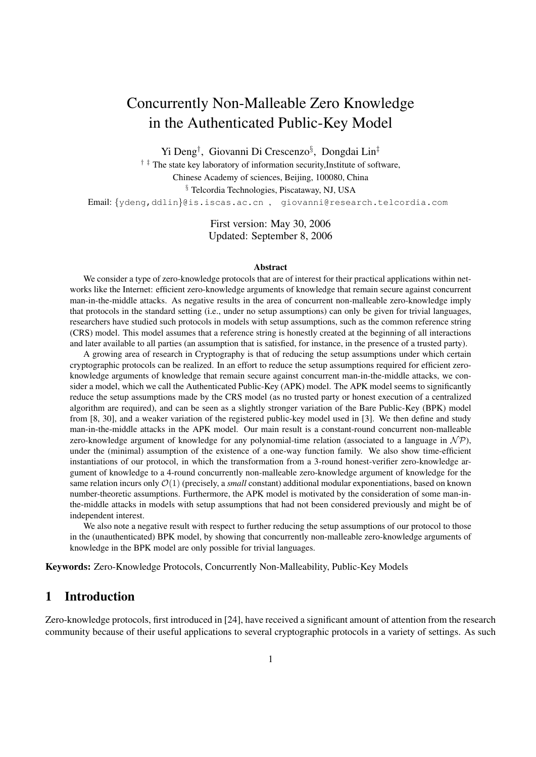# Concurrently Non-Malleable Zero Knowledge in the Authenticated Public-Key Model

Yi Deng<sup>†</sup>, Giovanni Di Crescenzo<sup>§</sup>, Dongdai Lin<sup>‡</sup>

 $\dagger$ <sup> $\ddagger$ </sup> The state key laboratory of information security, Institute of software,

Chinese Academy of sciences, Beijing, 100080, China

§ Telcordia Technologies, Piscataway, NJ, USA

Email: {ydeng,ddlin}@is.iscas.ac.cn , giovanni@research.telcordia.com

First version: May 30, 2006 Updated: September 8, 2006

#### Abstract

We consider a type of zero-knowledge protocols that are of interest for their practical applications within networks like the Internet: efficient zero-knowledge arguments of knowledge that remain secure against concurrent man-in-the-middle attacks. As negative results in the area of concurrent non-malleable zero-knowledge imply that protocols in the standard setting (i.e., under no setup assumptions) can only be given for trivial languages, researchers have studied such protocols in models with setup assumptions, such as the common reference string (CRS) model. This model assumes that a reference string is honestly created at the beginning of all interactions and later available to all parties (an assumption that is satisfied, for instance, in the presence of a trusted party).

A growing area of research in Cryptography is that of reducing the setup assumptions under which certain cryptographic protocols can be realized. In an effort to reduce the setup assumptions required for efficient zeroknowledge arguments of knowledge that remain secure against concurrent man-in-the-middle attacks, we consider a model, which we call the Authenticated Public-Key (APK) model. The APK model seems to significantly reduce the setup assumptions made by the CRS model (as no trusted party or honest execution of a centralized algorithm are required), and can be seen as a slightly stronger variation of the Bare Public-Key (BPK) model from [8, 30], and a weaker variation of the registered public-key model used in [3]. We then define and study man-in-the-middle attacks in the APK model. Our main result is a constant-round concurrent non-malleable zero-knowledge argument of knowledge for any polynomial-time relation (associated to a language in  $\mathcal{NP}$ ), under the (minimal) assumption of the existence of a one-way function family. We also show time-efficient instantiations of our protocol, in which the transformation from a 3-round honest-verifier zero-knowledge argument of knowledge to a 4-round concurrently non-malleable zero-knowledge argument of knowledge for the same relation incurs only  $\mathcal{O}(1)$  (precisely, a *small* constant) additional modular exponentiations, based on known number-theoretic assumptions. Furthermore, the APK model is motivated by the consideration of some man-inthe-middle attacks in models with setup assumptions that had not been considered previously and might be of independent interest.

We also note a negative result with respect to further reducing the setup assumptions of our protocol to those in the (unauthenticated) BPK model, by showing that concurrently non-malleable zero-knowledge arguments of knowledge in the BPK model are only possible for trivial languages.

Keywords: Zero-Knowledge Protocols, Concurrently Non-Malleability, Public-Key Models

## 1 Introduction

Zero-knowledge protocols, first introduced in [24], have received a significant amount of attention from the research community because of their useful applications to several cryptographic protocols in a variety of settings. As such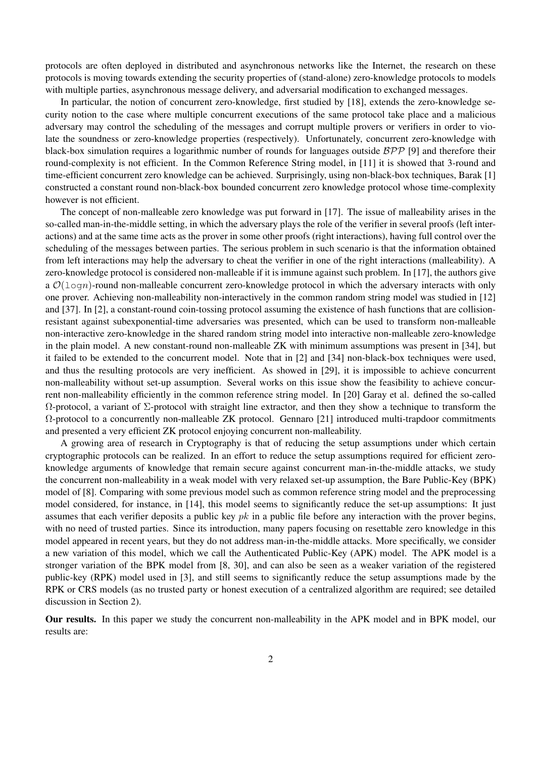protocols are often deployed in distributed and asynchronous networks like the Internet, the research on these protocols is moving towards extending the security properties of (stand-alone) zero-knowledge protocols to models with multiple parties, asynchronous message delivery, and adversarial modification to exchanged messages.

In particular, the notion of concurrent zero-knowledge, first studied by [18], extends the zero-knowledge security notion to the case where multiple concurrent executions of the same protocol take place and a malicious adversary may control the scheduling of the messages and corrupt multiple provers or verifiers in order to violate the soundness or zero-knowledge properties (respectively). Unfortunately, concurrent zero-knowledge with black-box simulation requires a logarithmic number of rounds for languages outside  $BPP$  [9] and therefore their round-complexity is not efficient. In the Common Reference String model, in [11] it is showed that 3-round and time-efficient concurrent zero knowledge can be achieved. Surprisingly, using non-black-box techniques, Barak [1] constructed a constant round non-black-box bounded concurrent zero knowledge protocol whose time-complexity however is not efficient.

The concept of non-malleable zero knowledge was put forward in [17]. The issue of malleability arises in the so-called man-in-the-middle setting, in which the adversary plays the role of the verifier in several proofs (left interactions) and at the same time acts as the prover in some other proofs (right interactions), having full control over the scheduling of the messages between parties. The serious problem in such scenario is that the information obtained from left interactions may help the adversary to cheat the verifier in one of the right interactions (malleability). A zero-knowledge protocol is considered non-malleable if it is immune against such problem. In [17], the authors give a  $\mathcal{O}(\log n)$ -round non-malleable concurrent zero-knowledge protocol in which the adversary interacts with only one prover. Achieving non-malleability non-interactively in the common random string model was studied in [12] and [37]. In [2], a constant-round coin-tossing protocol assuming the existence of hash functions that are collisionresistant against subexponential-time adversaries was presented, which can be used to transform non-malleable non-interactive zero-knowledge in the shared random string model into interactive non-malleable zero-knowledge in the plain model. A new constant-round non-malleable ZK with minimum assumptions was present in [34], but it failed to be extended to the concurrent model. Note that in [2] and [34] non-black-box techniques were used, and thus the resulting protocols are very inefficient. As showed in [29], it is impossible to achieve concurrent non-malleability without set-up assumption. Several works on this issue show the feasibility to achieve concurrent non-malleability efficiently in the common reference string model. In [20] Garay et al. defined the so-called  $Ω$ -protocol, a variant of  $Σ$ -protocol with straight line extractor, and then they show a technique to transform the  $\Omega$ -protocol to a concurrently non-malleable ZK protocol. Gennaro [21] introduced multi-trapdoor commitments and presented a very efficient ZK protocol enjoying concurrent non-malleability.

A growing area of research in Cryptography is that of reducing the setup assumptions under which certain cryptographic protocols can be realized. In an effort to reduce the setup assumptions required for efficient zeroknowledge arguments of knowledge that remain secure against concurrent man-in-the-middle attacks, we study the concurrent non-malleability in a weak model with very relaxed set-up assumption, the Bare Public-Key (BPK) model of [8]. Comparing with some previous model such as common reference string model and the preprocessing model considered, for instance, in [14], this model seems to significantly reduce the set-up assumptions: It just assumes that each verifier deposits a public key  $pk$  in a public file before any interaction with the prover begins, with no need of trusted parties. Since its introduction, many papers focusing on resettable zero knowledge in this model appeared in recent years, but they do not address man-in-the-middle attacks. More specifically, we consider a new variation of this model, which we call the Authenticated Public-Key (APK) model. The APK model is a stronger variation of the BPK model from [8, 30], and can also be seen as a weaker variation of the registered public-key (RPK) model used in [3], and still seems to significantly reduce the setup assumptions made by the RPK or CRS models (as no trusted party or honest execution of a centralized algorithm are required; see detailed discussion in Section 2).

Our results. In this paper we study the concurrent non-malleability in the APK model and in BPK model, our results are: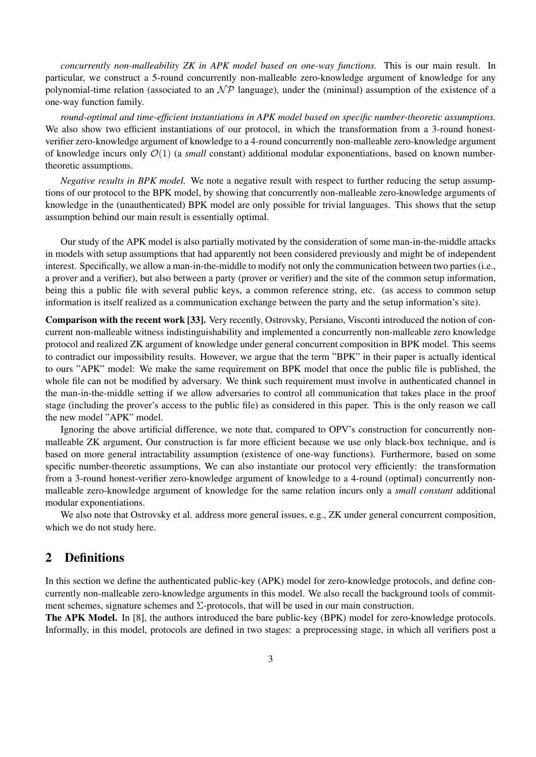*concurrently non-malleability ZK in APK model based on one-way functions.* This is our main result. In particular, we construct a 5-round concurrently non-malleable zero-knowledge argument of knowledge for any polynomial-time relation (associated to an  $\mathcal{NP}$  language), under the (minimal) assumption of the existence of a one-way function family.

*round-optimal and time-efficient instantiations in APK model based on specific number-theoretic assumptions.* We also show two efficient instantiations of our protocol, in which the transformation from a 3-round honestverifier zero-knowledge argument of knowledge to a 4-round concurrently non-malleable zero-knowledge argument of knowledge incurs only  $\mathcal{O}(1)$  (a *small* constant) additional modular exponentiations, based on known numbertheoretic assumptions.

*Negative results in BPK model.* We note a negative result with respect to further reducing the setup assumptions of our protocol to the BPK model, by showing that concurrently non-malleable zero-knowledge arguments of knowledge in the (unauthenticated) BPK model are only possible for trivial languages. This shows that the setup assumption behind our main result is essentially optimal.

Our study of the APK model is also partially motivated by the consideration of some man-in-the-middle attacks in models with setup assumptions that had apparently not been considered previously and might be of independent interest. Specifically, we allow a man-in-the-middle to modify not only the communication between two parties (i.e., a prover and a verifier), but also between a party (prover or verifier) and the site of the common setup information, being this a public file with several public keys, a common reference string, etc. (as access to common setup information is itself realized as a communication exchange between the party and the setup information's site).

Comparison with the recent work [33]. Very recently, Ostrovsky, Persiano, Visconti introduced the notion of concurrent non-malleable witness indistinguishability and implemented a concurrently non-malleable zero knowledge protocol and realized ZK argument of knowledge under general concurrent composition in BPK model. This seems to contradict our impossibility results. However, we argue that the term "BPK" in their paper is actually identical to ours "APK" model: We make the same requirement on BPK model that once the public file is published, the whole file can not be modified by adversary. We think such requirement must involve in authenticated channel in the man-in-the-middle setting if we allow adversaries to control all communication that takes place in the proof stage (including the prover's access to the public file) as considered in this paper. This is the only reason we call the new model "APK" model.

Ignoring the above artificial difference, we note that, compared to OPV's construction for concurrently nonmalleable ZK argument, Our construction is far more efficient because we use only black-box technique, and is based on more general intractability assumption (existence of one-way functions). Furthermore, based on some specific number-theoretic assumptions, We can also instantiate our protocol very efficiently: the transformation from a 3-round honest-verifier zero-knowledge argument of knowledge to a 4-round (optimal) concurrently nonmalleable zero-knowledge argument of knowledge for the same relation incurs only a *small constant* additional modular exponentiations.

We also note that Ostrovsky et al. address more general issues, e.g., ZK under general concurrent composition, which we do not study here.

## 2 Definitions

In this section we define the authenticated public-key (APK) model for zero-knowledge protocols, and define concurrently non-malleable zero-knowledge arguments in this model. We also recall the background tools of commitment schemes, signature schemes and  $\Sigma$ -protocols, that will be used in our main construction.

The APK Model. In [8], the authors introduced the bare public-key (BPK) model for zero-knowledge protocols. Informally, in this model, protocols are defined in two stages: a preprocessing stage, in which all verifiers post a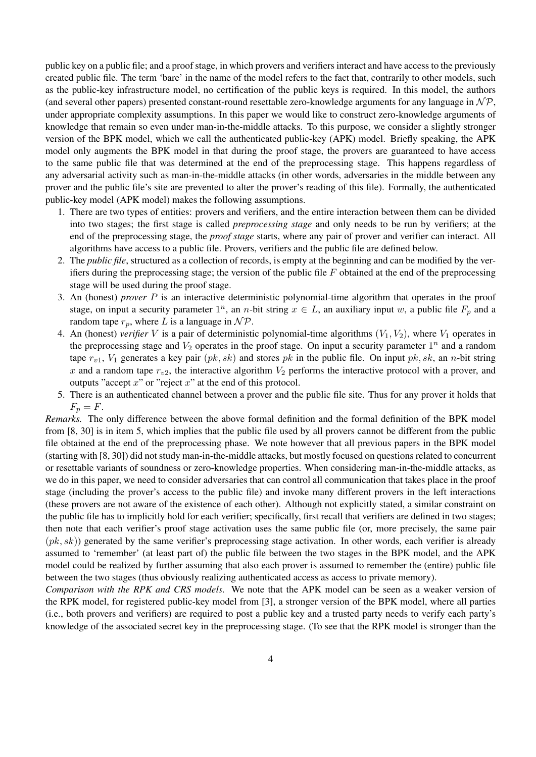public key on a public file; and a proof stage, in which provers and verifiers interact and have access to the previously created public file. The term 'bare' in the name of the model refers to the fact that, contrarily to other models, such as the public-key infrastructure model, no certification of the public keys is required. In this model, the authors (and several other papers) presented constant-round resettable zero-knowledge arguments for any language in  $N\mathcal{P}$ , under appropriate complexity assumptions. In this paper we would like to construct zero-knowledge arguments of knowledge that remain so even under man-in-the-middle attacks. To this purpose, we consider a slightly stronger version of the BPK model, which we call the authenticated public-key (APK) model. Briefly speaking, the APK model only augments the BPK model in that during the proof stage, the provers are guaranteed to have access to the same public file that was determined at the end of the preprocessing stage. This happens regardless of any adversarial activity such as man-in-the-middle attacks (in other words, adversaries in the middle between any prover and the public file's site are prevented to alter the prover's reading of this file). Formally, the authenticated public-key model (APK model) makes the following assumptions.

- 1. There are two types of entities: provers and verifiers, and the entire interaction between them can be divided into two stages; the first stage is called *preprocessing stage* and only needs to be run by verifiers; at the end of the preprocessing stage, the *proof stage* starts, where any pair of prover and verifier can interact. All algorithms have access to a public file. Provers, verifiers and the public file are defined below.
- 2. The *public file*, structured as a collection of records, is empty at the beginning and can be modified by the verifiers during the preprocessing stage; the version of the public file  $F$  obtained at the end of the preprocessing stage will be used during the proof stage.
- 3. An (honest) *prover* P is an interactive deterministic polynomial-time algorithm that operates in the proof stage, on input a security parameter  $1^n$ , an n-bit string  $x \in L$ , an auxiliary input w, a public file  $F_p$  and a random tape  $r_p$ , where L is a language in  $\mathcal{NP}$ .
- 4. An (honest) *verifier* V is a pair of deterministic polynomial-time algorithms  $(V_1, V_2)$ , where  $V_1$  operates in the preprocessing stage and  $V_2$  operates in the proof stage. On input a security parameter  $1^n$  and a random tape  $r_{v1}$ ,  $V_1$  generates a key pair  $(pk, sk)$  and stores pk in the public file. On input pk, sk, an n-bit string x and a random tape  $r_{v2}$ , the interactive algorithm  $V_2$  performs the interactive protocol with a prover, and outputs "accept  $x$ " or "reject  $x$ " at the end of this protocol.
- 5. There is an authenticated channel between a prover and the public file site. Thus for any prover it holds that  $F_p = F$ .

*Remarks.* The only difference between the above formal definition and the formal definition of the BPK model from [8, 30] is in item 5, which implies that the public file used by all provers cannot be different from the public file obtained at the end of the preprocessing phase. We note however that all previous papers in the BPK model (starting with [8, 30]) did not study man-in-the-middle attacks, but mostly focused on questions related to concurrent or resettable variants of soundness or zero-knowledge properties. When considering man-in-the-middle attacks, as we do in this paper, we need to consider adversaries that can control all communication that takes place in the proof stage (including the prover's access to the public file) and invoke many different provers in the left interactions (these provers are not aware of the existence of each other). Although not explicitly stated, a similar constraint on the public file has to implicitly hold for each verifier; specifically, first recall that verifiers are defined in two stages; then note that each verifier's proof stage activation uses the same public file (or, more precisely, the same pair  $(pk, sk)$ ) generated by the same verifier's preprocessing stage activation. In other words, each verifier is already assumed to 'remember' (at least part of) the public file between the two stages in the BPK model, and the APK model could be realized by further assuming that also each prover is assumed to remember the (entire) public file between the two stages (thus obviously realizing authenticated access as access to private memory).

*Comparison with the RPK and CRS models.* We note that the APK model can be seen as a weaker version of the RPK model, for registered public-key model from [3], a stronger version of the BPK model, where all parties (i.e., both provers and verifiers) are required to post a public key and a trusted party needs to verify each party's knowledge of the associated secret key in the preprocessing stage. (To see that the RPK model is stronger than the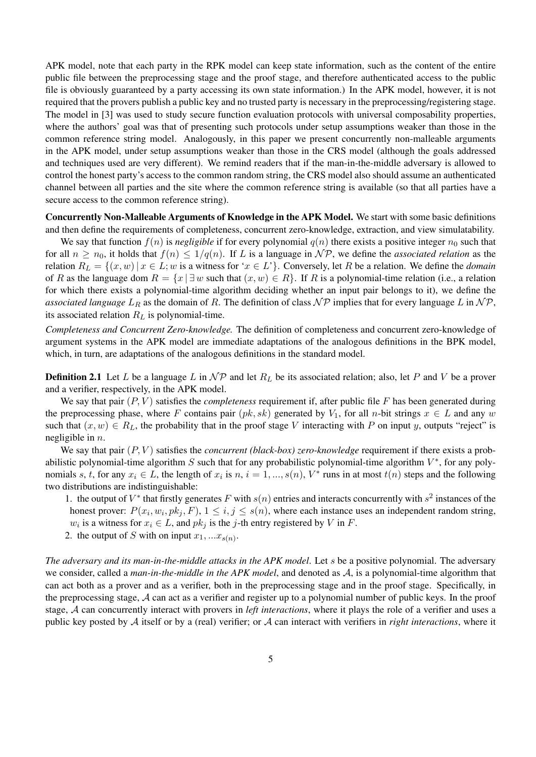APK model, note that each party in the RPK model can keep state information, such as the content of the entire public file between the preprocessing stage and the proof stage, and therefore authenticated access to the public file is obviously guaranteed by a party accessing its own state information.) In the APK model, however, it is not required that the provers publish a public key and no trusted party is necessary in the preprocessing/registering stage. The model in [3] was used to study secure function evaluation protocols with universal composability properties, where the authors' goal was that of presenting such protocols under setup assumptions weaker than those in the common reference string model. Analogously, in this paper we present concurrently non-malleable arguments in the APK model, under setup assumptions weaker than those in the CRS model (although the goals addressed and techniques used are very different). We remind readers that if the man-in-the-middle adversary is allowed to control the honest party's access to the common random string, the CRS model also should assume an authenticated channel between all parties and the site where the common reference string is available (so that all parties have a secure access to the common reference string).

Concurrently Non-Malleable Arguments of Knowledge in the APK Model. We start with some basic definitions and then define the requirements of completeness, concurrent zero-knowledge, extraction, and view simulatability.

We say that function  $f(n)$  is *negligible* if for every polynomial  $q(n)$  there exists a positive integer  $n_0$  such that for all  $n \ge n_0$ , it holds that  $f(n) \le 1/q(n)$ . If L is a language in  $\mathcal{NP}$ , we define the *associated relation* as the relation  $R_L = \{(x, w) | x \in L; w \text{ is a witness for } x \in L\}$ . Conversely, let R be a relation. We define the *domain* of R as the language dom  $R = \{x | \exists w \text{ such that } (x, w) \in R\}$ . If R is a polynomial-time relation (i.e., a relation for which there exists a polynomial-time algorithm deciding whether an input pair belongs to it), we define the *associated language*  $L_R$  as the domain of R. The definition of class  $\mathcal{NP}$  implies that for every language L in  $\mathcal{NP}$ , its associated relation  $R_L$  is polynomial-time.

*Completeness and Concurrent Zero-knowledge.* The definition of completeness and concurrent zero-knowledge of argument systems in the APK model are immediate adaptations of the analogous definitions in the BPK model, which, in turn, are adaptations of the analogous definitions in the standard model.

**Definition 2.1** Let L be a language L in  $\mathcal{NP}$  and let  $R_L$  be its associated relation; also, let P and V be a prover and a verifier, respectively, in the APK model.

We say that pair  $(P, V)$  satisfies the *completeness* requirement if, after public file  $F$  has been generated during the preprocessing phase, where F contains pair  $(pk, sk)$  generated by  $V_1$ , for all n-bit strings  $x \in L$  and any w such that  $(x, w) \in R_L$ , the probability that in the proof stage V interacting with P on input y, outputs "reject" is negligible in  $n$ .

We say that pair  $(P, V)$  satisfies the *concurrent (black-box) zero-knowledge* requirement if there exists a probabilistic polynomial-time algorithm S such that for any probabilistic polynomial-time algorithm  $V^*$ , for any polynomials s, t, for any  $x_i \in L$ , the length of  $x_i$  is  $n, i = 1, ..., s(n)$ ,  $V^*$  runs in at most  $t(n)$  steps and the following two distributions are indistinguishable:

- 1. the output of  $V^*$  that firstly generates F with  $s(n)$  entries and interacts concurrently with  $s^2$  instances of the honest prover:  $P(x_i, w_i, pk_j, F)$ ,  $1 \leq i, j \leq s(n)$ , where each instance uses an independent random string,  $w_i$  is a witness for  $x_i \in L$ , and  $pk_j$  is the j-th entry registered by V in F.
- 2. the output of S with on input  $x_1, ... x_{s(n)}$ .

*The adversary and its man-in-the-middle attacks in the APK model*. Let s be a positive polynomial. The adversary we consider, called a *man-in-the-middle in the APK model*, and denoted as A, is a polynomial-time algorithm that can act both as a prover and as a verifier, both in the preprocessing stage and in the proof stage. Specifically, in the preprocessing stage, A can act as a verifier and register up to a polynomial number of public keys. In the proof stage, A can concurrently interact with provers in *left interactions*, where it plays the role of a verifier and uses a public key posted by A itself or by a (real) verifier; or A can interact with verifiers in *right interactions*, where it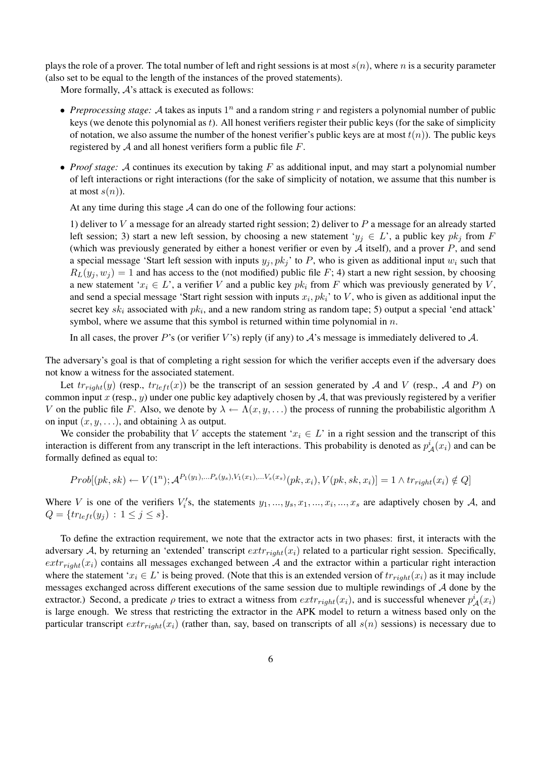plays the role of a prover. The total number of left and right sessions is at most  $s(n)$ , where n is a security parameter (also set to be equal to the length of the instances of the proved statements).

More formally,  $A$ 's attack is executed as follows:

- *Preprocessing stage:*  $\mathcal A$  takes as inputs  $1^n$  and a random string  $r$  and registers a polynomial number of public keys (we denote this polynomial as t). All honest verifiers register their public keys (for the sake of simplicity of notation, we also assume the number of the honest verifier's public keys are at most  $t(n)$ ). The public keys registered by  $A$  and all honest verifiers form a public file  $F$ .
- *Proof stage:* A continues its execution by taking F as additional input, and may start a polynomial number of left interactions or right interactions (for the sake of simplicity of notation, we assume that this number is at most  $s(n)$ ).

At any time during this stage  $A$  can do one of the following four actions:

1) deliver to V a message for an already started right session; 2) deliver to P a message for an already started left session; 3) start a new left session, by choosing a new statement ' $y_i \in L$ ', a public key  $pk_i$  from F (which was previously generated by either a honest verifier or even by  $A$  itself), and a prover  $P$ , and send a special message 'Start left session with inputs  $y_i, pk_j$ ' to P, who is given as additional input  $w_i$  such that  $R_L(y_i, w_j) = 1$  and has access to the (not modified) public file F; 4) start a new right session, by choosing a new statement ' $x_i \in L$ ', a verifier V and a public key  $pk_i$  from F which was previously generated by V, and send a special message 'Start right session with inputs  $x_i, pk_i$ ' to V, who is given as additional input the secret key  $sk_i$  associated with  $pk_i$ , and a new random string as random tape; 5) output a special 'end attack' symbol, where we assume that this symbol is returned within time polynomial in  $n$ .

In all cases, the prover P's (or verifier V's) reply (if any) to  $\mathcal{A}$ 's message is immediately delivered to  $\mathcal{A}$ .

The adversary's goal is that of completing a right session for which the verifier accepts even if the adversary does not know a witness for the associated statement.

Let  $tr_{right}(y)$  (resp.,  $tr_{left}(x)$ ) be the transcript of an session generated by A and V (resp., A and P) on common input  $x$  (resp.,  $y$ ) under one public key adaptively chosen by  $A$ , that was previously registered by a verifier V on the public file F. Also, we denote by  $\lambda \leftarrow \Lambda(x, y, \ldots)$  the process of running the probabilistic algorithm  $\Lambda$ on input  $(x, y, \ldots)$ , and obtaining  $\lambda$  as output.

We consider the probability that V accepts the statement ' $x_i \in L$ ' in a right session and the transcript of this interaction is different from any transcript in the left interactions. This probability is denoted as  $p^i_A(x_i)$  and can be formally defined as equal to:

$$
Prob[(pk, sk) \leftarrow V(1^n); \mathcal{A}^{P_1(y_1), \dots P_s(y_s), V_1(x_1), \dots V_s(x_s)}(pk, x_i), V(pk, sk, x_i)] = 1 \land tr_{right}(x_i) \notin Q]
$$

Where V is one of the verifiers  $V_i$ 's, the statements  $y_1, ..., y_s, x_1, ..., x_i, ..., x_s$  are adaptively chosen by A, and  $Q = \{tr_{left}(y_j) : 1 \leq j \leq s\}.$ 

To define the extraction requirement, we note that the extractor acts in two phases: first, it interacts with the adversary A, by returning an 'extended' transcript  $extr_{right}(x_i)$  related to a particular right session. Specifically,  $extr_{right}(x_i)$  contains all messages exchanged between A and the extractor within a particular right interaction where the statement ' $x_i \in L$ ' is being proved. (Note that this is an extended version of  $tr_{right}(x_i)$  as it may include messages exchanged across different executions of the same session due to multiple rewindings of A done by the extractor.) Second, a predicate  $\rho$  tries to extract a witness from  $extr_{right}(x_i)$ , and is successful whenever  $p^i_A(x_i)$ is large enough. We stress that restricting the extractor in the APK model to return a witness based only on the particular transcript  $extr_{\text{right}}(x_i)$  (rather than, say, based on transcripts of all  $s(n)$  sessions) is necessary due to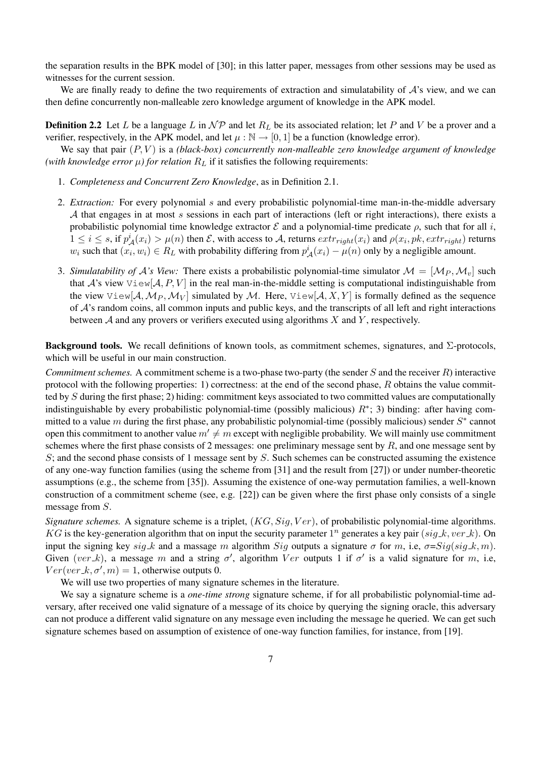the separation results in the BPK model of [30]; in this latter paper, messages from other sessions may be used as witnesses for the current session.

We are finally ready to define the two requirements of extraction and simulatability of  $A$ 's view, and we can then define concurrently non-malleable zero knowledge argument of knowledge in the APK model.

**Definition 2.2** Let L be a language L in  $\mathcal{NP}$  and let  $R_L$  be its associated relation; let P and V be a prover and a verifier, respectively, in the APK model, and let  $\mu : \mathbb{N} \to [0, 1]$  be a function (knowledge error).

We say that pair  $(P, V)$  is a *(black-box) concurrently non-malleable zero knowledge argument of knowledge (with knowledge error*  $\mu$ *) for relation*  $R_L$  if it satisfies the following requirements:

- 1. *Completeness and Concurrent Zero Knowledge*, as in Definition 2.1.
- 2. *Extraction:* For every polynomial s and every probabilistic polynomial-time man-in-the-middle adversary A that engages in at most s sessions in each part of interactions (left or right interactions), there exists a probabilistic polynomial time knowledge extractor  $\mathcal E$  and a polynomial-time predicate  $\rho$ , such that for all i,  $1 \le i \le s$ , if  $p^i_A(x_i) > \mu(n)$  then  $\mathcal{E}$ , with access to A, returns  $extr_{right}(x_i)$  and  $\rho(x_i, pk, extr_{right})$  returns  $w_i$  such that  $(x_i, w_i) \in R_L$  with probability differing from  $p^i_A(x_i) - \mu(n)$  only by a negligible amount.
- 3. *Simulatability of A's View:* There exists a probabilistic polynomial-time simulator  $M = [\mathcal{M}_P, \mathcal{M}_v]$  such that A's view  $\forall i \in \mathbb{N}[\mathcal{A}, P, V]$  in the real man-in-the-middle setting is computational indistinguishable from the view View[ $A, M_P, M_V$ ] simulated by M. Here, View[ $A, X, Y$ ] is formally defined as the sequence of  $\mathcal A$ 's random coins, all common inputs and public keys, and the transcripts of all left and right interactions between  $A$  and any provers or verifiers executed using algorithms  $X$  and  $Y$ , respectively.

Background tools. We recall definitions of known tools, as commitment schemes, signatures, and Σ-protocols, which will be useful in our main construction.

*Commitment schemes.* A commitment scheme is a two-phase two-party (the sender S and the receiver R) interactive protocol with the following properties: 1) correctness: at the end of the second phase,  $R$  obtains the value committed by S during the first phase; 2) hiding: commitment keys associated to two committed values are computationally indistinguishable by every probabilistic polynomial-time (possibly malicious)  $R^*$ ; 3) binding: after having committed to a value m during the first phase, any probabilistic polynomial-time (possibly malicious) sender  $S^*$  cannot open this commitment to another value  $m' \neq m$  except with negligible probability. We will mainly use commitment schemes where the first phase consists of 2 messages: one preliminary message sent by  $R$ , and one message sent by S; and the second phase consists of 1 message sent by S. Such schemes can be constructed assuming the existence of any one-way function families (using the scheme from [31] and the result from [27]) or under number-theoretic assumptions (e.g., the scheme from [35]). Assuming the existence of one-way permutation families, a well-known construction of a commitment scheme (see, e.g. [22]) can be given where the first phase only consists of a single message from S.

*Signature schemes.* A signature scheme is a triplet,  $(KG, Sig, Ver)$ , of probabilistic polynomial-time algorithms. KG is the key-generation algorithm that on input the security parameter  $1^n$  generates a key pair  $(sig_k, ver_k)$ . On input the signing key sig k and a massage m algorithm Sig outputs a signature  $\sigma$  for m, i.e,  $\sigma = Sig(sign_k, m)$ . Given (ver k), a message m and a string  $\sigma'$ , algorithm Ver outputs 1 if  $\sigma'$  is a valid signature for m, i.e,  $Ver(ver_k, \sigma', m) = 1$ , otherwise outputs 0.

We will use two properties of many signature schemes in the literature.

We say a signature scheme is a *one-time strong* signature scheme, if for all probabilistic polynomial-time adversary, after received one valid signature of a message of its choice by querying the signing oracle, this adversary can not produce a different valid signature on any message even including the message he queried. We can get such signature schemes based on assumption of existence of one-way function families, for instance, from [19].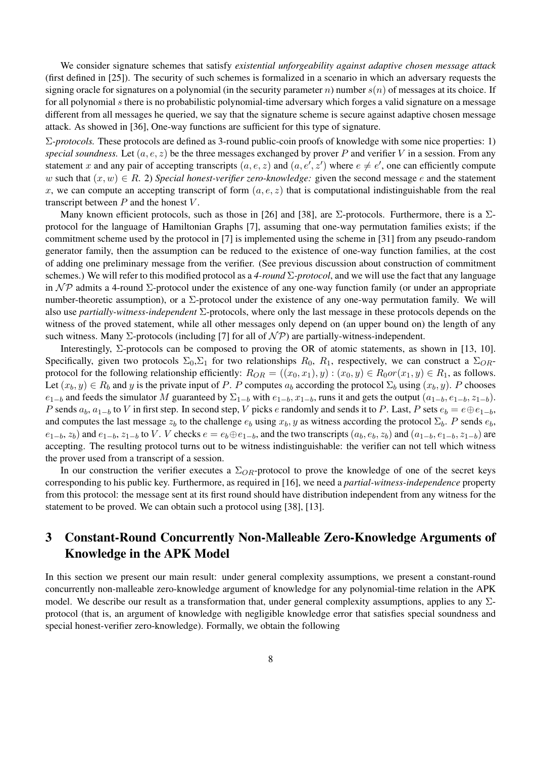We consider signature schemes that satisfy *existential unforgeability against adaptive chosen message attack* (first defined in [25]). The security of such schemes is formalized in a scenario in which an adversary requests the signing oracle for signatures on a polynomial (in the security parameter n) number  $s(n)$  of messages at its choice. If for all polynomial s there is no probabilistic polynomial-time adversary which forges a valid signature on a message different from all messages he queried, we say that the signature scheme is secure against adaptive chosen message attack. As showed in [36], One-way functions are sufficient for this type of signature.

Σ*-protocols.* These protocols are defined as 3-round public-coin proofs of knowledge with some nice properties: 1) *special soundness.* Let  $(a, e, z)$  be the three messages exchanged by prover P and verifier V in a session. From any statement x and any pair of accepting transcripts  $(a, e, z)$  and  $(a, e', z')$  where  $e \neq e'$ , one can efficiently compute w such that  $(x, w) \in R$ . 2) *Special honest-verifier zero-knowledge:* given the second message e and the statement x, we can compute an accepting transcript of form  $(a, e, z)$  that is computational indistinguishable from the real transcript between  $P$  and the honest  $V$ .

Many known efficient protocols, such as those in [26] and [38], are  $\Sigma$ -protocols. Furthermore, there is a  $\Sigma$ protocol for the language of Hamiltonian Graphs [7], assuming that one-way permutation families exists; if the commitment scheme used by the protocol in [7] is implemented using the scheme in [31] from any pseudo-random generator family, then the assumption can be reduced to the existence of one-way function families, at the cost of adding one preliminary message from the verifier. (See previous discussion about construction of commitment schemes.) We will refer to this modified protocol as a *4-round* Σ*-protocol*, and we will use the fact that any language in  $\mathcal{NP}$  admits a 4-round  $\Sigma$ -protocol under the existence of any one-way function family (or under an appropriate number-theoretic assumption), or a  $\Sigma$ -protocol under the existence of any one-way permutation family. We will also use *partially-witness-independent* Σ-protocols, where only the last message in these protocols depends on the witness of the proved statement, while all other messages only depend on (an upper bound on) the length of any such witness. Many  $\Sigma$ -protocols (including [7] for all of  $\mathcal{NP}$ ) are partially-witness-independent.

Interestingly, Σ-protocols can be composed to proving the OR of atomic statements, as shown in [13, 10]. Specifically, given two protocols  $\Sigma_0$ ,  $\Sigma_1$  for two relationships  $R_0$ ,  $R_1$ , respectively, we can construct a  $\Sigma_{OR}$ protocol for the following relationship efficiently:  $R_{OR} = ((x_0, x_1), y) : (x_0, y) \in R_0$  or  $(x_1, y) \in R_1$ , as follows. Let  $(x_b, y) \in R_b$  and y is the private input of P. P computes  $a_b$  according the protocol  $\Sigma_b$  using  $(x_b, y)$ . P chooses  $e_{1-b}$  and feeds the simulator M guaranteed by  $\Sigma_{1-b}$  with  $e_{1-b}$ ,  $x_{1-b}$ , runs it and gets the output  $(a_{1-b}, e_{1-b}, z_{1-b})$ . P sends  $a_b$ ,  $a_{1-b}$  to V in first step. In second step, V picks e randomly and sends it to P. Last, P sets  $e_b = e \oplus e_{1-b}$ , and computes the last message  $z_b$  to the challenge  $e_b$  using  $x_b$ , y as witness according the protocol  $\Sigma_b$ . P sends  $e_b$ ,  $e_{1-b}$ ,  $z_b$ ) and  $e_{1-b}$ ,  $z_{1-b}$  to V. V checks  $e = e_b \oplus e_{1-b}$ , and the two transcripts  $(a_b, e_b, z_b)$  and  $(a_{1-b}, e_{1-b}, z_{1-b})$  are accepting. The resulting protocol turns out to be witness indistinguishable: the verifier can not tell which witness the prover used from a transcript of a session.

In our construction the verifier executes a  $\Sigma_{OR}$ -protocol to prove the knowledge of one of the secret keys corresponding to his public key. Furthermore, as required in [16], we need a *partial-witness-independence* property from this protocol: the message sent at its first round should have distribution independent from any witness for the statement to be proved. We can obtain such a protocol using [38], [13].

# 3 Constant-Round Concurrently Non-Malleable Zero-Knowledge Arguments of Knowledge in the APK Model

In this section we present our main result: under general complexity assumptions, we present a constant-round concurrently non-malleable zero-knowledge argument of knowledge for any polynomial-time relation in the APK model. We describe our result as a transformation that, under general complexity assumptions, applies to any  $\Sigma$ protocol (that is, an argument of knowledge with negligible knowledge error that satisfies special soundness and special honest-verifier zero-knowledge). Formally, we obtain the following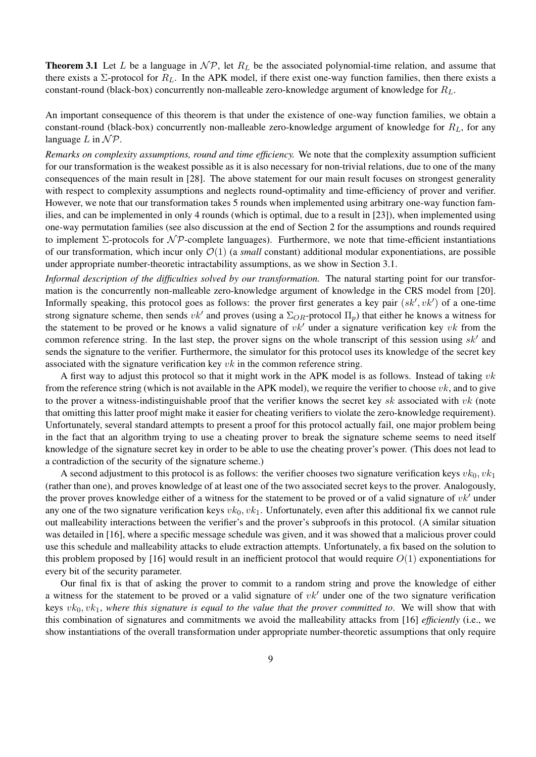**Theorem 3.1** Let L be a language in  $\mathcal{NP}$ , let  $R_L$  be the associated polynomial-time relation, and assume that there exists a  $\Sigma$ -protocol for  $R_L$ . In the APK model, if there exist one-way function families, then there exists a constant-round (black-box) concurrently non-malleable zero-knowledge argument of knowledge for  $R_L$ .

An important consequence of this theorem is that under the existence of one-way function families, we obtain a constant-round (black-box) concurrently non-malleable zero-knowledge argument of knowledge for  $R_L$ , for any language  $L$  in  $\mathcal{NP}$ .

*Remarks on complexity assumptions, round and time efficiency.* We note that the complexity assumption sufficient for our transformation is the weakest possible as it is also necessary for non-trivial relations, due to one of the many consequences of the main result in [28]. The above statement for our main result focuses on strongest generality with respect to complexity assumptions and neglects round-optimality and time-efficiency of prover and verifier. However, we note that our transformation takes 5 rounds when implemented using arbitrary one-way function families, and can be implemented in only 4 rounds (which is optimal, due to a result in [23]), when implemented using one-way permutation families (see also discussion at the end of Section 2 for the assumptions and rounds required to implement  $\Sigma$ -protocols for  $N\mathcal{P}$ -complete languages). Furthermore, we note that time-efficient instantiations of our transformation, which incur only  $\mathcal{O}(1)$  (a *small* constant) additional modular exponentiations, are possible under appropriate number-theoretic intractability assumptions, as we show in Section 3.1.

*Informal description of the difficulties solved by our transformation.* The natural starting point for our transformation is the concurrently non-malleable zero-knowledge argument of knowledge in the CRS model from [20]. Informally speaking, this protocol goes as follows: the prover first generates a key pair  $(s k', v k')$  of a one-time strong signature scheme, then sends  $vk'$  and proves (using a  $\Sigma_{OR}$ -protocol  $\Pi_p$ ) that either he knows a witness for the statement to be proved or he knows a valid signature of  $vk'$  under a signature verification key vk from the common reference string. In the last step, the prover signs on the whole transcript of this session using  $sk'$  and sends the signature to the verifier. Furthermore, the simulator for this protocol uses its knowledge of the secret key associated with the signature verification key  $vk$  in the common reference string.

A first way to adjust this protocol so that it might work in the APK model is as follows. Instead of taking  $vk$ from the reference string (which is not available in the APK model), we require the verifier to choose  $vk$ , and to give to the prover a witness-indistinguishable proof that the verifier knows the secret key sk associated with  $vk$  (note that omitting this latter proof might make it easier for cheating verifiers to violate the zero-knowledge requirement). Unfortunately, several standard attempts to present a proof for this protocol actually fail, one major problem being in the fact that an algorithm trying to use a cheating prover to break the signature scheme seems to need itself knowledge of the signature secret key in order to be able to use the cheating prover's power. (This does not lead to a contradiction of the security of the signature scheme.)

A second adjustment to this protocol is as follows: the verifier chooses two signature verification keys  $vk_0, vk_1$ (rather than one), and proves knowledge of at least one of the two associated secret keys to the prover. Analogously, the prover proves knowledge either of a witness for the statement to be proved or of a valid signature of  $vk'$  under any one of the two signature verification keys  $vk_0, vk_1$ . Unfortunately, even after this additional fix we cannot rule out malleability interactions between the verifier's and the prover's subproofs in this protocol. (A similar situation was detailed in [16], where a specific message schedule was given, and it was showed that a malicious prover could use this schedule and malleability attacks to elude extraction attempts. Unfortunately, a fix based on the solution to this problem proposed by [16] would result in an inefficient protocol that would require  $O(1)$  exponentiations for every bit of the security parameter.

Our final fix is that of asking the prover to commit to a random string and prove the knowledge of either a witness for the statement to be proved or a valid signature of  $vk'$  under one of the two signature verification keys vk0, vk1, *where this signature is equal to the value that the prover committed to*. We will show that with this combination of signatures and commitments we avoid the malleability attacks from [16] *efficiently* (i.e., we show instantiations of the overall transformation under appropriate number-theoretic assumptions that only require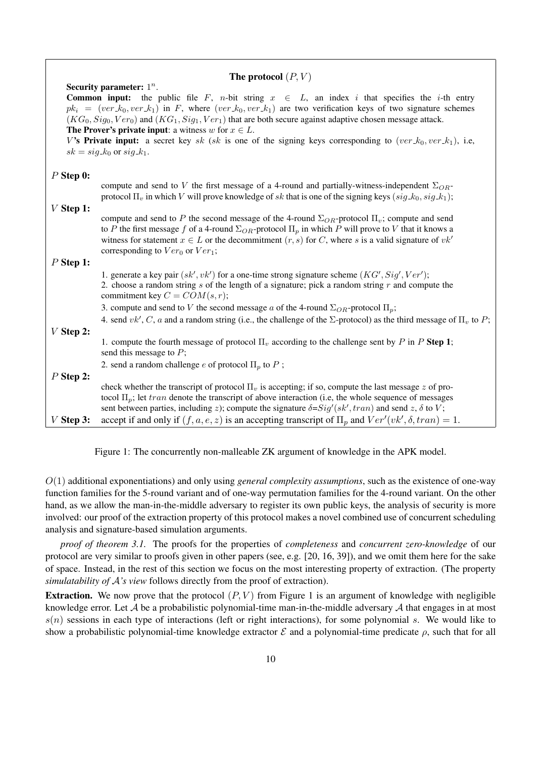| The protocol $(P, V)$ |                                                                                                                                                                                                                                                                                                                                                                                                                                                                                                                                                                      |  |  |
|-----------------------|----------------------------------------------------------------------------------------------------------------------------------------------------------------------------------------------------------------------------------------------------------------------------------------------------------------------------------------------------------------------------------------------------------------------------------------------------------------------------------------------------------------------------------------------------------------------|--|--|
|                       | Security parameter: $1^n$ .                                                                                                                                                                                                                                                                                                                                                                                                                                                                                                                                          |  |  |
|                       | <b>Common input:</b> the public file F, n-bit string $x \in L$ , an index i that specifies the i-th entry<br>$pk_i = (ver_k_0, ver_k_1)$ in F, where $(ver_k_0, ver_k_1)$ are two verification keys of two signature schemes<br>$(KG_0, Sig_0, Ver_0)$ and $(KG_1, Sig_1, Ver_1)$ that are both secure against adaptive chosen message attack.<br><b>The Prover's private input:</b> a witness $w$ for $x \in L$ .<br>V's Private input: a secret key sk (sk is one of the signing keys corresponding to (ver $k_0$ , ver $k_1$ ), i.e.<br>$sk = sig_k$ or $sig_k$ . |  |  |
| $P$ Step 0:           |                                                                                                                                                                                                                                                                                                                                                                                                                                                                                                                                                                      |  |  |
|                       | compute and send to V the first message of a 4-round and partially-witness-independent $\Sigma_{OR}$ -<br>protocol $\Pi_v$ in which V will prove knowledge of sk that is one of the signing keys $(sig_k, sig_k)$ ;                                                                                                                                                                                                                                                                                                                                                  |  |  |
| $V$ Step 1:           |                                                                                                                                                                                                                                                                                                                                                                                                                                                                                                                                                                      |  |  |
|                       | compute and send to P the second message of the 4-round $\Sigma_{OR}$ -protocol $\Pi_{v}$ ; compute and send<br>to P the first message f of a 4-round $\Sigma_{OR}$ -protocol $\Pi_p$ in which P will prove to V that it knows a<br>witness for statement $x \in L$ or the decommitment $(r, s)$ for C, where s is a valid signature of $vk'$<br>corresponding to $Ver_0$ or $Ver_1$ ;                                                                                                                                                                               |  |  |
| $P$ Step 1:           |                                                                                                                                                                                                                                                                                                                                                                                                                                                                                                                                                                      |  |  |
|                       | 1. generate a key pair $(sk', vk')$ for a one-time strong signature scheme $(KG', Sig', Ver')$ ;<br>2. choose a random string $s$ of the length of a signature; pick a random string $r$ and compute the<br>commitment key $C = COM(s, r)$ ;                                                                                                                                                                                                                                                                                                                         |  |  |
|                       | 3. compute and send to V the second message a of the 4-round $\Sigma_{OR}$ -protocol $\Pi_p$ ;                                                                                                                                                                                                                                                                                                                                                                                                                                                                       |  |  |
|                       | 4. send $vk', C, a$ and a random string (i.e., the challenge of the $\Sigma$ -protocol) as the third message of $\Pi$ <sub>v</sub> to P;                                                                                                                                                                                                                                                                                                                                                                                                                             |  |  |
| $V$ Step 2:           |                                                                                                                                                                                                                                                                                                                                                                                                                                                                                                                                                                      |  |  |
|                       | 1. compute the fourth message of protocol $\Pi_v$ according to the challenge sent by P in P Step 1;<br>send this message to $P$ ;                                                                                                                                                                                                                                                                                                                                                                                                                                    |  |  |
|                       | 2. send a random challenge $e$ of protocol $\Pi_p$ to $P$ ;                                                                                                                                                                                                                                                                                                                                                                                                                                                                                                          |  |  |
| $P$ Step 2:           |                                                                                                                                                                                                                                                                                                                                                                                                                                                                                                                                                                      |  |  |
|                       | check whether the transcript of protocol $\Pi_v$ is accepting; if so, compute the last message z of pro-<br>tocol $\Pi_p$ ; let tran denote the transcript of above interaction (i.e, the whole sequence of messages<br>sent between parties, including z); compute the signature $\delta = Sig'(sk', tran)$ and send z, $\delta$ to V;                                                                                                                                                                                                                              |  |  |
| $V$ Step 3:           | accept if and only if $(f, a, e, z)$ is an accepting transcript of $\Pi_p$ and $Ver'(vk', \delta, tran) = 1$ .                                                                                                                                                                                                                                                                                                                                                                                                                                                       |  |  |

Figure 1: The concurrently non-malleable ZK argument of knowledge in the APK model.

O(1) additional exponentiations) and only using *general complexity assumptions*, such as the existence of one-way function families for the 5-round variant and of one-way permutation families for the 4-round variant. On the other hand, as we allow the man-in-the-middle adversary to register its own public keys, the analysis of security is more involved: our proof of the extraction property of this protocol makes a novel combined use of concurrent scheduling analysis and signature-based simulation arguments.

*proof of theorem 3.1.* The proofs for the properties of *completeness* and *concurrent zero-knowledge* of our protocol are very similar to proofs given in other papers (see, e.g. [20, 16, 39]), and we omit them here for the sake of space. Instead, in the rest of this section we focus on the most interesting property of extraction. (The property *simulatability of* A*'s view* follows directly from the proof of extraction).

**Extraction.** We now prove that the protocol  $(P, V)$  from Figure 1 is an argument of knowledge with negligible knowledge error. Let A be a probabilistic polynomial-time man-in-the-middle adversary A that engages in at most  $s(n)$  sessions in each type of interactions (left or right interactions), for some polynomial s. We would like to show a probabilistic polynomial-time knowledge extractor  $\mathcal E$  and a polynomial-time predicate  $\rho$ , such that for all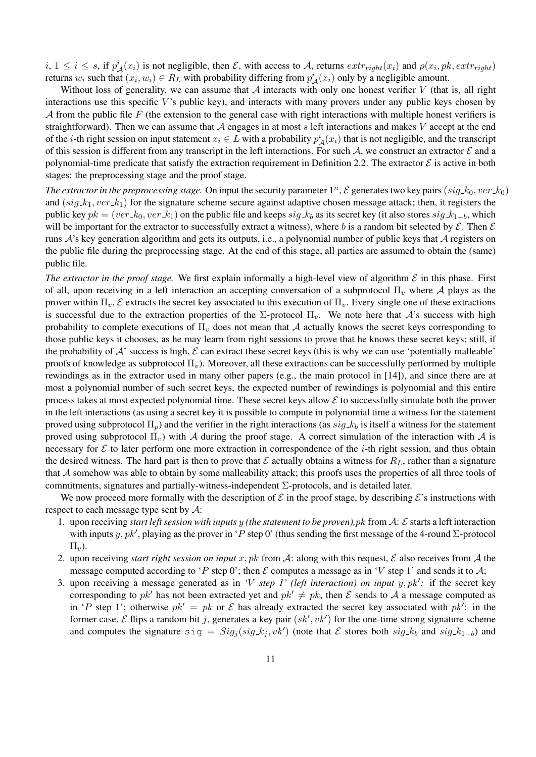$i, 1 \le i \le s$ , if  $p^i_A(x_i)$  is not negligible, then  $\mathcal{E}$ , with access to A, returns  $extr_{right}(x_i)$  and  $\rho(x_i, pk, extr_{right})$ returns  $w_i$  such that  $(x_i, w_i) \in R_L$  with probability differing from  $p^i_A(x_i)$  only by a negligible amount.

Without loss of generality, we can assume that  $A$  interacts with only one honest verifier  $V$  (that is, all right interactions use this specific  $V$ 's public key), and interacts with many provers under any public keys chosen by A from the public file F (the extension to the general case with right interactions with multiple honest verifiers is straightforward). Then we can assume that  $A$  engages in at most s left interactions and makes  $V$  accept at the end of the *i*-th right session on input statement  $x_i \in L$  with a probability  $p^i_A(x_i)$  that is not negligible, and the transcript of this session is different from any transcript in the left interactions. For such A, we construct an extractor  $\mathcal E$  and a polynomial-time predicate that satisfy the extraction requirement in Definition 2.2. The extractor  $\mathcal E$  is active in both stages: the preprocessing stage and the proof stage.

The extractor in the preprocessing stage. On input the security parameter  $1^n$ ,  $\mathcal E$  generates two key pairs  $(sig_k, ver_k)$ and  $(sig_k, k_1, ver_k)$  for the signature scheme secure against adaptive chosen message attack; then, it registers the public key  $pk = (ver_k v_0, ver_k)$  on the public file and keeps  $sig_k v_k$  as its secret key (it also stores  $sig_k v_{k-1-b}$ , which will be important for the extractor to successfully extract a witness), where b is a random bit selected by  $\mathcal{E}$ . Then  $\mathcal{E}$ runs  $\mathcal{A}$ 's key generation algorithm and gets its outputs, i.e., a polynomial number of public keys that  $\mathcal{A}$  registers on the public file during the preprocessing stage. At the end of this stage, all parties are assumed to obtain the (same) public file.

*The extractor in the proof stage.* We first explain informally a high-level view of algorithm  $\mathcal E$  in this phase. First of all, upon receiving in a left interaction an accepting conversation of a subprotocol  $\Pi_v$  where A plays as the prover within  $\Pi_v$ ,  $\mathcal E$  extracts the secret key associated to this execution of  $\Pi_v$ . Every single one of these extractions is successful due to the extraction properties of the  $\Sigma$ -protocol  $\Pi_v$ . We note here that A's success with high probability to complete executions of  $\Pi_v$  does not mean that A actually knows the secret keys corresponding to those public keys it chooses, as he may learn from right sessions to prove that he knows these secret keys; still, if the probability of  $A'$  success is high,  $\mathcal E$  can extract these secret keys (this is why we can use 'potentially malleable' proofs of knowledge as subprotocol  $\Pi_v$ ). Moreover, all these extractions can be successfully performed by multiple rewindings as in the extractor used in many other papers (e.g., the main protocol in [14]), and since there are at most a polynomial number of such secret keys, the expected number of rewindings is polynomial and this entire process takes at most expected polynomial time. These secret keys allow  $\mathcal E$  to successfully simulate both the prover in the left interactions (as using a secret key it is possible to compute in polynomial time a witness for the statement proved using subprotocol  $\Pi_p$ ) and the verifier in the right interactions (as  $sig\mathcal{A}_b$  is itself a witness for the statement proved using subprotocol  $\Pi_{\nu}$ ) with A during the proof stage. A correct simulation of the interaction with A is necessary for  $\mathcal E$  to later perform one more extraction in correspondence of the *i*-th right session, and thus obtain the desired witness. The hard part is then to prove that  $\mathcal E$  actually obtains a witness for  $R_L$ , rather than a signature that A somehow was able to obtain by some malleability attack; this proofs uses the properties of all three tools of commitments, signatures and partially-witness-independent Σ-protocols, and is detailed later.

We now proceed more formally with the description of  $\mathcal E$  in the proof stage, by describing  $\mathcal E$ 's instructions with respect to each message type sent by A:

- 1. upon receiving *start left session with inputs* y *(the statement to be proven),*pk from A: E starts a left interaction with inputs y, pk', playing as the prover in 'P step 0' (thus sending the first message of the 4-round  $\Sigma$ -protocol  $\Pi_{\eta}$ ).
- 2. upon receiving *start right session on input* x, pk from A: along with this request,  $\mathcal E$  also receives from A the message computed according to 'P step 0'; then  $\mathcal E$  computes a message as in 'V step 1' and sends it to  $\mathcal A$ ;
- 3. upon receiving a message generated as in *'V step 1' (left interaction) on input*  $y, pk'$ : if the secret key corresponding to pk<sup>t</sup> has not been extracted yet and  $pk' \neq pk$ , then E sends to A a message computed as in 'P step 1'; otherwise  $pk' = pk$  or  $\mathcal E$  has already extracted the secret key associated with  $pk'$ : in the former case,  $\mathcal E$  flips a random bit j, generates a key pair  $(sk', vk')$  for the one-time strong signature scheme and computes the signature  $sig = Sig_j(sig_k, vk')$  (note that  $\mathcal E$  stores both  $sig_k$  and  $sig_k_{1-b}$ ) and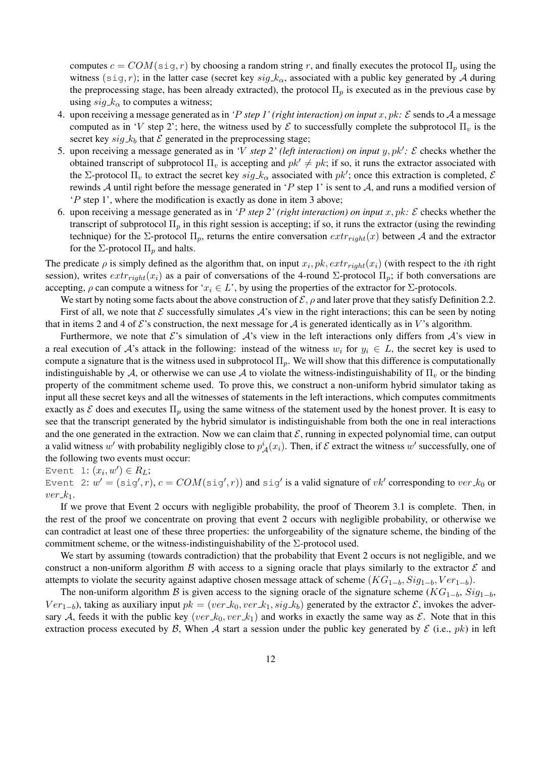computes  $c = COM(\text{sig}, r)$  by choosing a random string r, and finally executes the protocol  $\Pi_p$  using the witness (sig, r); in the latter case (secret key  $sig_k$ , associated with a public key generated by A during the preprocessing stage, has been already extracted), the protocol  $\Pi_p$  is executed as in the previous case by using  $sig \, k_\alpha$  to computes a witness;

- 4. upon receiving a message generated as in *'P step 1' (right interaction) on input*  $x, pk$ :  $\mathcal E$  sends to  $\mathcal A$  a message computed as in 'V step 2'; here, the witness used by  $\mathcal E$  to successfully complete the subprotocol  $\Pi_v$  is the secret key  $sig_k$  that  $\mathcal E$  generated in the preprocessing stage;
- 5. upon receiving a message generated as in *'V step 2' (left interaction) on input*  $y, pk'$ *: E* checks whether the obtained transcript of subprotocol  $\Pi_{v}$  is accepting and  $pk' \neq pk$ ; if so, it runs the extractor associated with the  $\Sigma$ -protocol  $\Pi_v$  to extract the secret key  $sig_k \_\alpha$  associated with  $pk'$ ; once this extraction is completed,  $\mathcal E$ rewinds A until right before the message generated in 'P step 1' is sent to A, and runs a modified version of 'P step 1', where the modification is exactly as done in item 3 above;
- 6. upon receiving a message generated as in *'P step 2' (right interaction) on input*  $x, pk$ :  $\mathcal{E}$  checks whether the transcript of subprotocol  $\Pi_p$  in this right session is accepting; if so, it runs the extractor (using the rewinding technique) for the Σ-protocol  $\Pi_p$ , returns the entire conversation  $extr_{right}(x)$  between A and the extractor for the  $\Sigma$ -protocol  $\Pi_p$  and halts.

The predicate  $\rho$  is simply defined as the algorithm that, on input  $x_i, pk, extr_{right}(x_i)$  (with respect to the *i*th right session), writes  $extr_{right}(x_i)$  as a pair of conversations of the 4-round  $\Sigma$ -protocol  $\Pi_p$ ; if both conversations are accepting,  $\rho$  can compute a witness for ' $x_i \in L$ ', by using the properties of the extractor for  $\Sigma$ -protocols.

We start by noting some facts about the above construction of  $\mathcal{E}, \rho$  and later prove that they satisfy Definition 2.2.

First of all, we note that  $\mathcal E$  successfully simulates  $\mathcal A$ 's view in the right interactions; this can be seen by noting that in items 2 and 4 of  $\mathcal E$ 's construction, the next message for A is generated identically as in V's algorithm.

Furthermore, we note that  $\mathcal{E}$ 's simulation of  $\mathcal{A}$ 's view in the left interactions only differs from  $\mathcal{A}$ 's view in a real execution of A's attack in the following: instead of the witness  $w_i$  for  $y_i \in L$ , the secret key is used to compute a signature that is the witness used in subprotocol  $\Pi_p$ . We will show that this difference is computationally indistinguishable by A, or otherwise we can use A to violate the witness-indistinguishability of  $\Pi_v$  or the binding property of the commitment scheme used. To prove this, we construct a non-uniform hybrid simulator taking as input all these secret keys and all the witnesses of statements in the left interactions, which computes commitments exactly as E does and executes  $\Pi_p$  using the same witness of the statement used by the honest prover. It is easy to see that the transcript generated by the hybrid simulator is indistinguishable from both the one in real interactions and the one generated in the extraction. Now we can claim that  $\mathcal{E}$ , running in expected polynomial time, can output a valid witness w' with probability negligibly close to  $p^i_A(x_i)$ . Then, if  $\mathcal E$  extract the witness w' successfully, one of the following two events must occur:

Event 1:  $(x_i, w') \in R_L$ ;

Event 2:  $w' = (\text{sig}', r), c = COM(\text{sig}', r))$  and  $\text{sig}'$  is a valid signature of  $vk'$  corresponding to  $ver\_k_0$  or  $ver_k.$ 

If we prove that Event 2 occurs with negligible probability, the proof of Theorem 3.1 is complete. Then, in the rest of the proof we concentrate on proving that event 2 occurs with negligible probability, or otherwise we can contradict at least one of these three properties: the unforgeability of the signature scheme, the binding of the commitment scheme, or the witness-indistinguishability of the  $\Sigma$ -protocol used.

We start by assuming (towards contradiction) that the probability that Event 2 occurs is not negligible, and we construct a non-uniform algorithm  $\beta$  with access to a signing oracle that plays similarly to the extractor  $\beta$  and attempts to violate the security against adaptive chosen message attack of scheme  $(KG_{1-b}, Sig_{1-b}, Ver_{1-b})$ .

The non-uniform algorithm B is given access to the signing oracle of the signature scheme ( $KG_{1-b}$ ,  $Sig_{1-b}$ ,  $Ver_{1-b}$ ), taking as auxiliary input  $pk = (ver_k v, ver_k k_1, sig_k k_0)$  generated by the extractor  $\mathcal{E}$ , invokes the adversary A, feeds it with the public key (ver  $k_0$ , ver  $k_1$ ) and works in exactly the same way as E. Note that in this extraction process executed by  $\mathcal{B}$ , When  $\mathcal{A}$  start a session under the public key generated by  $\mathcal{E}$  (i.e., pk) in left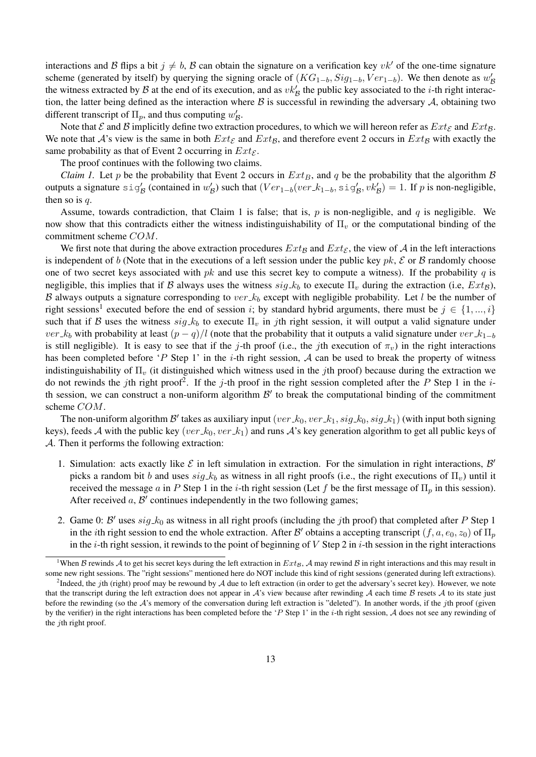interactions and B flips a bit  $j \neq b$ , B can obtain the signature on a verification key vk' of the one-time signature scheme (generated by itself) by querying the signing oracle of  $(KG_{1-b}, Sig_{1-b}, Ver_{1-b})$ . We then denote as  $w'_{\mathcal{B}}$ the witness extracted by B at the end of its execution, and as  $vk'_B$  the public key associated to the *i*-th right interaction, the latter being defined as the interaction where  $\beta$  is successful in rewinding the adversary  $\mathcal{A}$ , obtaining two different transcript of  $\Pi_p$ , and thus computing  $w'_B$ .

Note that  $\mathcal E$  and  $\mathcal B$  implicitly define two extraction procedures, to which we will hereon refer as  $Ext_{\mathcal E}$  and  $Ext_{\mathcal B}$ . We note that A's view is the same in both  $Ext_{\mathcal{E}}$  and  $Ext_{\mathcal{B}}$ , and therefore event 2 occurs in  $Ext_{\mathcal{B}}$  with exactly the same probability as that of Event 2 occurring in  $Ext_{\mathcal{E}}$ .

The proof continues with the following two claims.

*Claim 1.* Let p be the probability that Event 2 occurs in  $Ext_B$ , and q be the probability that the algorithm  $\beta$ outputs a signature  $sig'_B$  (contained in  $w'_B$ ) such that  $(Ver_{1-b}(ver_k, sig'_B, vk'_B)) = 1$ . If p is non-negligible, then so is  $q$ .

Assume, towards contradiction, that Claim 1 is false; that is,  $p$  is non-negligible, and  $q$  is negligible. We now show that this contradicts either the witness indistinguishability of  $\Pi_{\nu}$  or the computational binding of the commitment scheme COM.

We first note that during the above extraction procedures  $Ext_B$  and  $Ext_{\mathcal{E}}$ , the view of A in the left interactions is independent of b (Note that in the executions of a left session under the public key pk,  $\mathcal E$  or  $\mathcal B$  randomly choose one of two secret keys associated with  $pk$  and use this secret key to compute a witness). If the probability q is negligible, this implies that if B always uses the witness  $sig_k$  to execute  $\Pi_v$  during the extraction (i.e,  $Ext_B$ ), B always outputs a signature corresponding to ver  $k_b$  except with negligible probability. Let l be the number of right sessions<sup>1</sup> executed before the end of session i; by standard hybrid arguments, there must be  $j \in \{1, ..., i\}$ such that if B uses the witness  $sig_k b$  to execute  $\Pi_v$  in jth right session, it will output a valid signature under ver  $k_b$  with probability at least  $(p - q)/l$  (note that the probability that it outputs a valid signature under ver  $k_{1-b}$ is still negligible). It is easy to see that if the j-th proof (i.e., the jth execution of  $\pi_v$ ) in the right interactions has been completed before 'P Step 1' in the  $i$ -th right session, A can be used to break the property of witness indistinguishability of  $\Pi_{\nu}$  (it distinguished which witness used in the *j*th proof) because during the extraction we do not rewinds the jth right proof<sup>2</sup>. If the j-th proof in the right session completed after the P Step 1 in the *i*th session, we can construct a non-uniform algorithm  $\mathcal{B}'$  to break the computational binding of the commitment scheme COM.

The non-uniform algorithm  $B'$  takes as auxiliary input (ver  $k_0$ , ver  $k_1$ , sig  $k_0$ , sig  $k_1$ ) (with input both signing keys), feeds A with the public key (ver  $k_0$ , ver  $k_1$ ) and runs A's key generation algorithm to get all public keys of A. Then it performs the following extraction:

- 1. Simulation: acts exactly like  $\mathcal E$  in left simulation in extraction. For the simulation in right interactions,  $\mathcal B'$ picks a random bit b and uses  $sig_k$  as witness in all right proofs (i.e., the right executions of  $\Pi_v$ ) until it received the message a in P Step 1 in the i-th right session (Let f be the first message of  $\Pi_p$  in this session). After received  $a$ ,  $B'$  continues independently in the two following games;
- 2. Game 0:  $\mathcal{B}'$  uses  $sig_k$  as witness in all right proofs (including the jth proof) that completed after P Step 1 in the *i*th right session to end the whole extraction. After B' obtains a accepting transcript  $(f, a, e_0, z_0)$  of  $\Pi_p$ in the *i*-th right session, it rewinds to the point of beginning of V Step 2 in *i*-th session in the right interactions

<sup>&</sup>lt;sup>1</sup>When  $B$  rewinds  $A$  to get his secret keys during the left extraction in  $Ext_B$ ,  $A$  may rewind  $B$  in right interactions and this may result in some new right sessions. The "right sessions" mentioned here do NOT include this kind of right sessions (generated during left extractions).

<sup>&</sup>lt;sup>2</sup>Indeed, the jth (right) proof may be rewound by A due to left extraction (in order to get the adversary's secret key). However, we note that the transcript during the left extraction does not appear in  $A$ 's view because after rewinding  $A$  each time  $B$  resets  $A$  to its state just before the rewinding (so the  $\mathcal{A}$ 's memory of the conversation during left extraction is "deleted"). In another words, if the *j*th proof (given by the verifier) in the right interactions has been completed before the 'P Step 1' in the i-th right session,  $A$  does not see any rewinding of the  $j$ th right proof.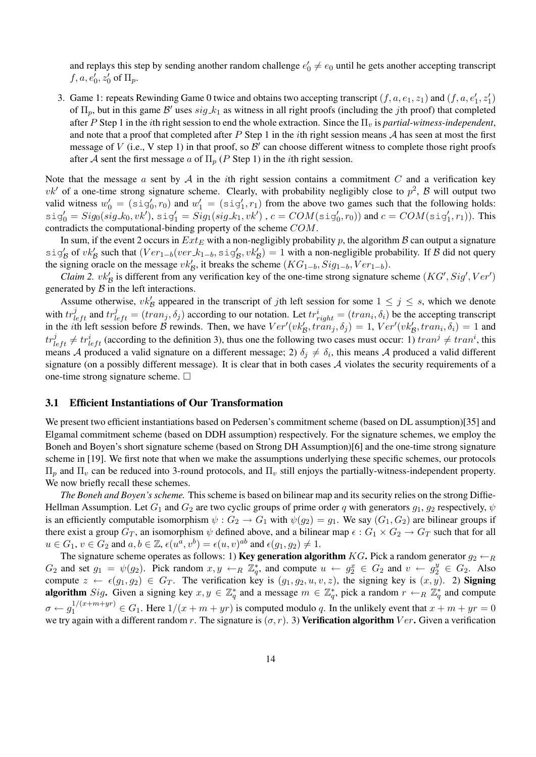and replays this step by sending another random challenge  $e'_0 \neq e_0$  until he gets another accepting transcript  $f, a, e'_0, z'_0$  of  $\Pi_p$ .

3. Game 1: repeats Rewinding Game 0 twice and obtains two accepting transcript  $(f, a, e_1, z_1)$  and  $(f, a, e'_1, z'_1)$ of  $\Pi_p$ , but in this game  $\mathcal{B}'$  uses  $sig_k$  as witness in all right proofs (including the *j*th proof) that completed after P Step 1 in the *i*th right session to end the whole extraction. Since the  $\Pi_v$  is *partial-witness-independent*, and note that a proof that completed after P Step 1 in the *i*th right session means  $A$  has seen at most the first message of V (i.e., V step 1) in that proof, so  $\mathcal{B}'$  can choose different witness to complete those right proofs after A sent the first message a of  $\Pi_p$  (P Step 1) in the *i*th right session.

Note that the message  $a$  sent by  $A$  in the *i*th right session contains a commitment  $C$  and a verification key  $vk'$  of a one-time strong signature scheme. Clearly, with probability negligibly close to  $p^2$ ,  $\beta$  will output two valid witness  $w'_0 = (sig'_0, r_0)$  and  $w'_1 = (sig'_1, r_1)$  from the above two games such that the following holds:  $\texttt{sig}_0' = \textit{Sig}_0(\textit{sig\_k_0}, \textit{vk}'), \, \texttt{sig}_1' = \textit{Sig}_1(\textit{sig\_k_1}, \textit{vk}')$  ,  $c = \textit{COM}(\texttt{sig}_0', r_0))$  and  $c = \textit{COM}(\texttt{sig}_1', r_1)).$  This contradicts the computational-binding property of the scheme COM.

In sum, if the event 2 occurs in  $Ext_E$  with a non-negligibly probability p, the algorithm B can output a signature sig'<sub>B</sub> of vk'<sub>B</sub> such that  $(Ver_{1-b}(ver.k_{1-b}, sig'_B, vk'_B)) = 1$  with a non-negligible probability. If B did not query the signing oracle on the message  $vk'_B$ , it breaks the scheme  $(KG_{1-b}, Sig_{1-b}, Ver_{1-b})$ .

*Claim 2.*  $vk'_B$  is different from any verification key of the one-time strong signature scheme  $(KG', Sig', Ver')$ generated by  $\beta$  in the left interactions.

Assume otherwise,  $vk'_B$  appeared in the transcript of jth left session for some  $1 \le j \le s$ , which we denote with  $tr_{left}^{j}$  and  $tr_{left}^{j} = (tran_j, \delta_j)$  according to our notation. Let  $tr_{right}^{i} = (tran_i, \delta_i)$  be the accepting transcript in the *i*th left session before B rewinds. Then, we have  $Ver'(vk'_{\mathcal{B}}, tran_j, \delta_j) = 1$ ,  $Ver'(vk'_{\mathcal{B}}, tran_i, \delta_i) = 1$  and  $tr_{left}^{j} \neq tr_{left}^{i}$  (according to the definition 3), thus one the following two cases must occur: 1)  $tran^{j} \neq tran^{i}$ , this means A produced a valid signature on a different message; 2)  $\delta_j \neq \delta_i$ , this means A produced a valid different signature (on a possibly different message). It is clear that in both cases  $A$  violates the security requirements of a one-time strong signature scheme.  $\Box$ 

#### 3.1 Efficient Instantiations of Our Transformation

We present two efficient instantiations based on Pedersen's commitment scheme (based on DL assumption)[35] and Elgamal commitment scheme (based on DDH assumption) respectively. For the signature schemes, we employ the Boneh and Boyen's short signature scheme (based on Strong DH Assumption)[6] and the one-time strong signature scheme in [19]. We first note that when we make the assumptions underlying these specific schemes, our protocols  $\Pi_p$  and  $\Pi_v$  can be reduced into 3-round protocols, and  $\Pi_v$  still enjoys the partially-witness-independent property. We now briefly recall these schemes.

*The Boneh and Boyen's scheme.* This scheme is based on bilinear map and its security relies on the strong Diffie-Hellman Assumption. Let  $G_1$  and  $G_2$  are two cyclic groups of prime order q with generators  $g_1, g_2$  respectively,  $\psi$ is an efficiently computable isomorphism  $\psi: G_2 \to G_1$  with  $\psi(g_2) = g_1$ . We say  $(G_1, G_2)$  are bilinear groups if there exist a group  $G_T$ , an isomorphism  $\psi$  defined above, and a bilinear map  $\epsilon: G_1 \times G_2 \to G_T$  such that for all  $u \in G_1$ ,  $v \in G_2$  and  $a, b \in \mathbb{Z}$ ,  $\epsilon(u^a, v^b) = \epsilon(u, v)^{ab}$  and  $\epsilon(g_1, g_2) \neq 1$ .

The signature scheme operates as follows: 1) **Key generation algorithm** KG. Pick a random generator  $g_2 \leftarrow_R$  $G_2$  and set  $g_1 = \psi(g_2)$ . Pick random  $x, y \leftarrow_R \mathbb{Z}_q^*$ , and compute  $u \leftarrow g_2^x \in G_2$  and  $v \leftarrow g_2^y \in G_2$ . Also compute  $z \leftarrow \epsilon(g_1, g_2) \in G_T$ . The verification key is  $(g_1, g_2, u, v, z)$ , the signing key is  $(x, y)$ . 2) Signing **algorithm** Sig. Given a signing key  $x, y \in \mathbb{Z}_q^*$  and a message  $m \in \mathbb{Z}_q^*$ , pick a random  $r \leftarrow_R \mathbb{Z}_q^*$  and compute  $\sigma \leftarrow g_1^{1/(x+m+yr)} \in G_1$ . Here  $1/(x+m+yr)$  is computed modulo q. In the unlikely event that  $x+m+yr=0$ we try again with a different random r. The signature is  $(\sigma, r)$ . 3) Verification algorithm  $Ver$ . Given a verification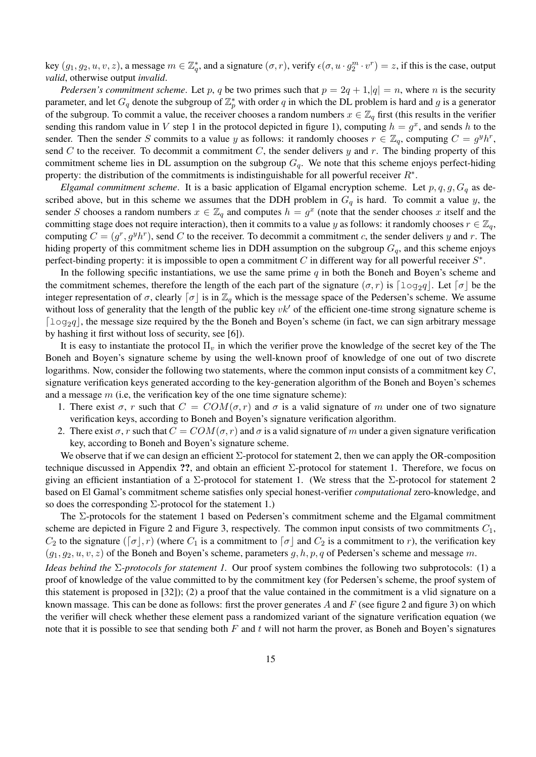key  $(g_1, g_2, u, v, z)$ , a message  $m \in \mathbb{Z}_q^*$ , and a signature  $(\sigma, r)$ , verify  $\epsilon(\sigma, u \cdot g_2^m \cdot v^r) = z$ , if this is the case, output *valid*, otherwise output *invalid*.

*Pedersen's commitment scheme.* Let p, q be two primes such that  $p = 2q + 1$ ,  $|q| = n$ , where n is the security parameter, and let  $G_q$  denote the subgroup of  $\mathbb{Z}_p^*$  with order q in which the DL problem is hard and g is a generator of the subgroup. To commit a value, the receiver chooses a random numbers  $x \in \mathbb{Z}_q$  first (this results in the verifier sending this random value in V step 1 in the protocol depicted in figure 1), computing  $h = g^x$ , and sends h to the sender. Then the sender S commits to a value y as follows: it randomly chooses  $r \in \mathbb{Z}_q$ , computing  $C = g^y h^r$ , send  $C$  to the receiver. To decommit a commitment  $C$ , the sender delivers  $y$  and  $r$ . The binding property of this commitment scheme lies in DL assumption on the subgroup  $G_q$ . We note that this scheme enjoys perfect-hiding property: the distribution of the commitments is indistinguishable for all powerful receiver  $R^*$ .

*Elgamal commitment scheme*. It is a basic application of Elgamal encryption scheme. Let  $p, q, g, G<sub>q</sub>$  as described above, but in this scheme we assumes that the DDH problem in  $G_q$  is hard. To commit a value y, the sender S chooses a random numbers  $x \in \mathbb{Z}_q$  and computes  $h = g^x$  (note that the sender chooses x itself and the committing stage does not require interaction), then it commits to a value y as follows: it randomly chooses  $r \in \mathbb{Z}_q$ , computing  $C = (g^r, g^y h^r)$ , send C to the receiver. To decommit a commitment c, the sender delivers y and r. The hiding property of this commitment scheme lies in DDH assumption on the subgroup  $G_q$ , and this scheme enjoys perfect-binding property: it is impossible to open a commitment  $C$  in different way for all powerful receiver  $S^*$ .

In the following specific instantiations, we use the same prime  $q$  in both the Boneh and Boyen's scheme and the commitment schemes, therefore the length of the each part of the signature  $(\sigma, r)$  is  $\lceil \log_2 q \rceil$ . Let  $\lceil \sigma \rceil$  be the integer representation of  $\sigma$ , clearly  $\sigma$  is in  $\mathbb{Z}_q$  which is the message space of the Pedersen's scheme. We assume without loss of generality that the length of the public key  $vk'$  of the efficient one-time strong signature scheme is  $\lceil \log_2 q \rceil$ , the message size required by the the Boneh and Boyen's scheme (in fact, we can sign arbitrary message by hashing it first without loss of security, see [6]).

It is easy to instantiate the protocol  $\Pi_v$  in which the verifier prove the knowledge of the secret key of the The Boneh and Boyen's signature scheme by using the well-known proof of knowledge of one out of two discrete logarithms. Now, consider the following two statements, where the common input consists of a commitment key C, signature verification keys generated according to the key-generation algorithm of the Boneh and Boyen's schemes and a message  $m$  (i.e, the verification key of the one time signature scheme):

- 1. There exist  $\sigma$ , r such that  $C = COM(\sigma, r)$  and  $\sigma$  is a valid signature of m under one of two signature verification keys, according to Boneh and Boyen's signature verification algorithm.
- 2. There exist  $\sigma$ , r such that  $C = COM(\sigma, r)$  and  $\sigma$  is a valid signature of m under a given signature verification key, according to Boneh and Boyen's signature scheme.

We observe that if we can design an efficient  $\Sigma$ -protocol for statement 2, then we can apply the OR-composition technique discussed in Appendix ??, and obtain an efficient Σ-protocol for statement 1. Therefore, we focus on giving an efficient instantiation of a  $\Sigma$ -protocol for statement 1. (We stress that the  $\Sigma$ -protocol for statement 2 based on El Gamal's commitment scheme satisfies only special honest-verifier *computational* zero-knowledge, and so does the corresponding  $\Sigma$ -protocol for the statement 1.)

The Σ-protocols for the statement 1 based on Pedersen's commitment scheme and the Elgamal commitment scheme are depicted in Figure 2 and Figure 3, respectively. The common input consists of two commitments  $C_1$ ,  $C_2$  to the signature  $(\lceil \sigma \rceil, r)$  (where  $C_1$  is a commitment to  $\lceil \sigma \rceil$  and  $C_2$  is a commitment to r), the verification key  $(g_1, g_2, u, v, z)$  of the Boneh and Boyen's scheme, parameters g, h, p, q of Pedersen's scheme and message m.

*Ideas behind the* Σ*-protocols for statement 1.* Our proof system combines the following two subprotocols: (1) a proof of knowledge of the value committed to by the commitment key (for Pedersen's scheme, the proof system of this statement is proposed in [32]); (2) a proof that the value contained in the commitment is a vlid signature on a known massage. This can be done as follows: first the prover generates  $A$  and  $F$  (see figure 2 and figure 3) on which the verifier will check whether these element pass a randomized variant of the signature verification equation (we note that it is possible to see that sending both  $F$  and  $t$  will not harm the prover, as Boneh and Boyen's signatures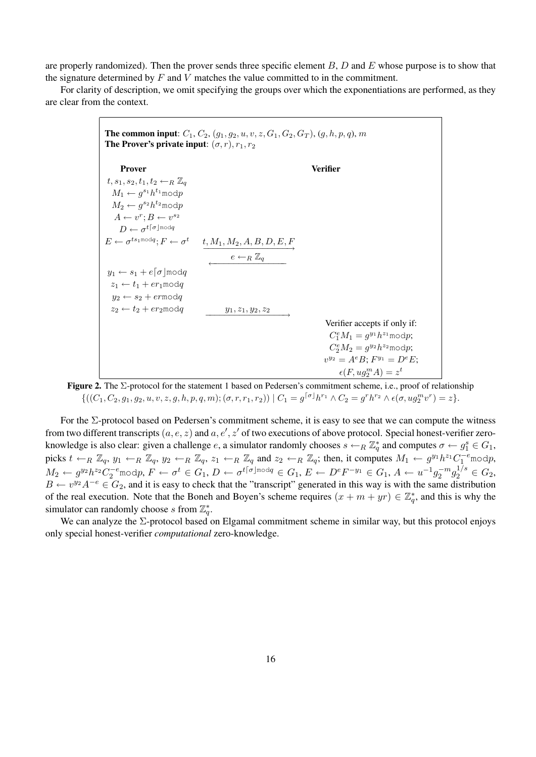are properly randomized). Then the prover sends three specific element  $B, D$  and  $E$  whose purpose is to show that the signature determined by  $F$  and  $V$  matches the value committed to in the commitment.

For clarity of description, we omit specifying the groups over which the exponentiations are performed, as they are clear from the context.

| <b>The common input:</b> $C_1$ , $C_2$ , $(g_1, g_2, u, v, z, G_1, G_2, G_T)$ , $(g, h, p, q)$ , $m$<br>The Prover's private input: $(\sigma, r)$ , $r_1$ , $r_2$ |                                                                                                   |                                             |  |  |
|-------------------------------------------------------------------------------------------------------------------------------------------------------------------|---------------------------------------------------------------------------------------------------|---------------------------------------------|--|--|
| <b>Prover</b>                                                                                                                                                     |                                                                                                   | Verifier                                    |  |  |
| $t, s_1, s_2, t_1, t_2 \leftarrow_R \mathbb{Z}_q$                                                                                                                 |                                                                                                   |                                             |  |  |
| $M_1 \leftarrow q^{s_1} h^{t_1} \text{mod} p$                                                                                                                     |                                                                                                   |                                             |  |  |
| $M_2 \leftarrow q^{s_2} h^{t_2} \text{mod} p$                                                                                                                     |                                                                                                   |                                             |  |  |
| $A \leftarrow v^r : B \leftarrow v^{s_2}$                                                                                                                         |                                                                                                   |                                             |  |  |
| $D \leftarrow \sigma^{t\lceil \sigma \rfloor \bmod q}$                                                                                                            |                                                                                                   |                                             |  |  |
|                                                                                                                                                                   | $E \leftarrow \sigma^{ts_1 \text{mod} q}; F \leftarrow \sigma^t \quad t, M_1, M_2, A, B, D, E, F$ |                                             |  |  |
|                                                                                                                                                                   | $e \leftarrow_R \mathbb{Z}_q$                                                                     |                                             |  |  |
| $y_1 \leftarrow s_1 + e\lceil \sigma \rceil \mod q$                                                                                                               |                                                                                                   |                                             |  |  |
| $z_1 \leftarrow t_1 + e r_1 \mod q$                                                                                                                               |                                                                                                   |                                             |  |  |
| $y_2 \leftarrow s_2 + e r \mod q$                                                                                                                                 |                                                                                                   |                                             |  |  |
| $z_2 \leftarrow t_2 + er_2 \mod q$                                                                                                                                | $y_1, z_1, y_2, z_2$                                                                              |                                             |  |  |
|                                                                                                                                                                   |                                                                                                   | Verifier accepts if only if:                |  |  |
|                                                                                                                                                                   |                                                                                                   | $C_1^eM_1 = g^{y_1}h^{z_1} \text{mod} p;$   |  |  |
|                                                                                                                                                                   |                                                                                                   | $C_2^e M_2 = q^{y_2} h^{z_2} \text{mod} p;$ |  |  |
|                                                                                                                                                                   |                                                                                                   | $v^{y_2} = A^e B; F^{y_1} = D^e E;$         |  |  |
|                                                                                                                                                                   |                                                                                                   | $\epsilon(F, uq_2^m A) = z^t$               |  |  |

Figure 2. The Σ-protocol for the statement 1 based on Pedersen's commitment scheme, i.e., proof of relationship  $\{((C_1, C_2, g_1, g_2, u, v, z, g, h, p, q, m); (\sigma, r, r_1, r_2)) \mid C_1 = g^{\lceil \sigma \rfloor} h^{r_1} \wedge C_2 = g^r h^{r_2} \wedge \epsilon(\sigma, u g_2^m v^r) = z\}.$ 

For the  $\Sigma$ -protocol based on Pedersen's commitment scheme, it is easy to see that we can compute the witness from two different transcripts  $(a, e, z)$  and  $a, e', z'$  of two executions of above protocol. Special honest-verifier zeroknowledge is also clear: given a challenge e, a simulator randomly chooses  $s \leftarrow_R \mathbb{Z}_q^*$  and computes  $\sigma \leftarrow g_1^s \in G_1$ , picks  $t \leftarrow_R \mathbb{Z}_q$ ,  $y_1 \leftarrow_R \mathbb{Z}_q$ ,  $y_2 \leftarrow_R \mathbb{Z}_q$ ,  $z_1 \leftarrow_R \mathbb{Z}_q$  and  $z_2 \leftarrow_R \mathbb{Z}_q$ ; then, it computes  $M_1 \leftarrow g^{y_1} h^{z_1} C_1^{-e}$  modp,  $M_2\leftarrow g^{y_2}h^{z_2}C_2^{-e}$ mod $p, F\leftarrow \sigma^t\in G_1, D\leftarrow \sigma^{t\lceil\sigma\rfloor$ mod $q\in G_1, E\leftarrow D^eF^{-y_1}\in G_1, A\leftarrow u^{-1}g_2^{-m}g_2^{1/s}\in G_2,$  $B \leftarrow v^{y_2} A^{-e} \in G_2$ , and it is easy to check that the "transcript" generated in this way is with the same distribution of the real execution. Note that the Boneh and Boyen's scheme requires  $(x + m + yr) \in \mathbb{Z}_q^*$ , and this is why the simulator can randomly choose s from  $\mathbb{Z}_q^*$ .

We can analyze the  $\Sigma$ -protocol based on Elgamal commitment scheme in similar way, but this protocol enjoys only special honest-verifier *computational* zero-knowledge.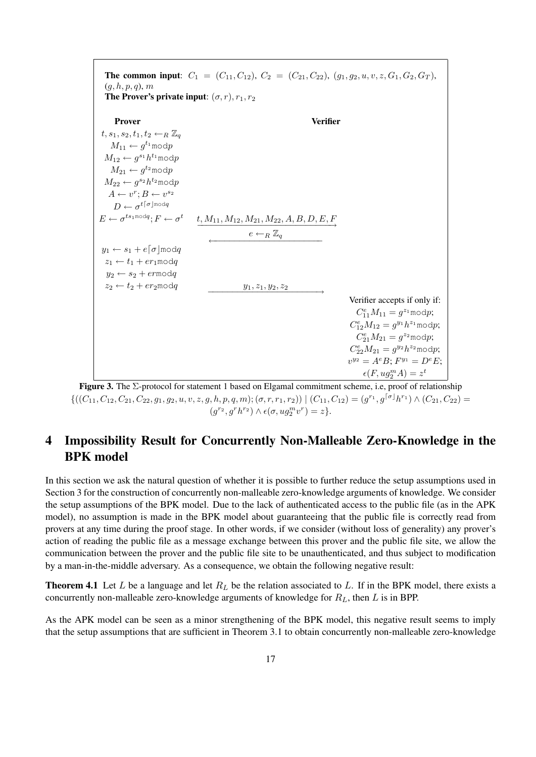

Figure 3. The Σ-protocol for statement 1 based on Elgamal commitment scheme, i.e, proof of relationship  $\{((C_{11}, C_{12}, C_{21}, C_{22}, g_1, g_2, u, v, z, g, h, p, q, m); (\sigma, r, r_1, r_2)) \mid (C_{11}, C_{12}) = (g^{r_1}, g^{\lceil \sigma \rfloor} h^{r_1}) \wedge (C_{21}, C_{22}) =$  $(g^{r_2}, g^r h^{r_2}) \wedge \epsilon(\sigma, u g_2^m v^r) = z\}.$ 

# 4 Impossibility Result for Concurrently Non-Malleable Zero-Knowledge in the BPK model

In this section we ask the natural question of whether it is possible to further reduce the setup assumptions used in Section 3 for the construction of concurrently non-malleable zero-knowledge arguments of knowledge. We consider the setup assumptions of the BPK model. Due to the lack of authenticated access to the public file (as in the APK model), no assumption is made in the BPK model about guaranteeing that the public file is correctly read from provers at any time during the proof stage. In other words, if we consider (without loss of generality) any prover's action of reading the public file as a message exchange between this prover and the public file site, we allow the communication between the prover and the public file site to be unauthenticated, and thus subject to modification by a man-in-the-middle adversary. As a consequence, we obtain the following negative result:

**Theorem 4.1** Let L be a language and let  $R_L$  be the relation associated to L. If in the BPK model, there exists a concurrently non-malleable zero-knowledge arguments of knowledge for  $R_L$ , then L is in BPP.

As the APK model can be seen as a minor strengthening of the BPK model, this negative result seems to imply that the setup assumptions that are sufficient in Theorem 3.1 to obtain concurrently non-malleable zero-knowledge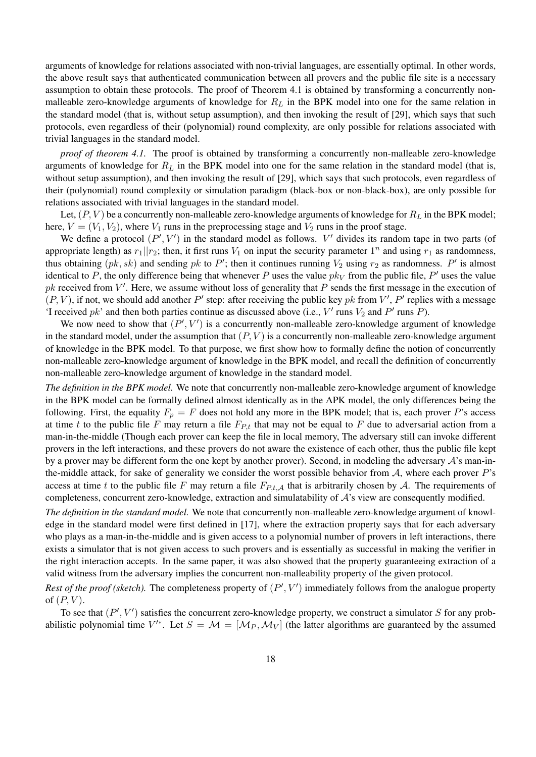arguments of knowledge for relations associated with non-trivial languages, are essentially optimal. In other words, the above result says that authenticated communication between all provers and the public file site is a necessary assumption to obtain these protocols. The proof of Theorem 4.1 is obtained by transforming a concurrently nonmalleable zero-knowledge arguments of knowledge for  $R<sub>L</sub>$  in the BPK model into one for the same relation in the standard model (that is, without setup assumption), and then invoking the result of [29], which says that such protocols, even regardless of their (polynomial) round complexity, are only possible for relations associated with trivial languages in the standard model.

*proof of theorem 4.1.* The proof is obtained by transforming a concurrently non-malleable zero-knowledge arguments of knowledge for  $R_L$  in the BPK model into one for the same relation in the standard model (that is, without setup assumption), and then invoking the result of [29], which says that such protocols, even regardless of their (polynomial) round complexity or simulation paradigm (black-box or non-black-box), are only possible for relations associated with trivial languages in the standard model.

Let,  $(P, V)$  be a concurrently non-malleable zero-knowledge arguments of knowledge for  $R_L$  in the BPK model; here,  $V = (V_1, V_2)$ , where  $V_1$  runs in the preprocessing stage and  $V_2$  runs in the proof stage.

We define a protocol  $(P', V')$  in the standard model as follows. V' divides its random tape in two parts (of appropriate length) as  $r_1||r_2$ ; then, it first runs  $V_1$  on input the security parameter  $1^n$  and using  $r_1$  as randomness, thus obtaining  $(pk, sk)$  and sending pk to P'; then it continues running  $V_2$  using  $r_2$  as randomness. P' is almost identical to P, the only difference being that whenever P uses the value  $pk<sub>V</sub>$  from the public file,  $P'$  uses the value pk received from  $V'$ . Here, we assume without loss of generality that P sends the first message in the execution of  $(P, V)$ , if not, we should add another P' step: after receiving the public key pk from V', P' replies with a message 'I received  $pk$ ' and then both parties continue as discussed above (i.e.,  $V'$  runs  $V_2$  and  $P'$  runs  $P$ ).

We now need to show that  $(P', V')$  is a concurrently non-malleable zero-knowledge argument of knowledge in the standard model, under the assumption that  $(P, V)$  is a concurrently non-malleable zero-knowledge argument of knowledge in the BPK model. To that purpose, we first show how to formally define the notion of concurrently non-malleable zero-knowledge argument of knowledge in the BPK model, and recall the definition of concurrently non-malleable zero-knowledge argument of knowledge in the standard model.

*The definition in the BPK model.* We note that concurrently non-malleable zero-knowledge argument of knowledge in the BPK model can be formally defined almost identically as in the APK model, the only differences being the following. First, the equality  $F_p = F$  does not hold any more in the BPK model; that is, each prover P's access at time t to the public file F may return a file  $F_{P,t}$  that may not be equal to F due to adversarial action from a man-in-the-middle (Though each prover can keep the file in local memory, The adversary still can invoke different provers in the left interactions, and these provers do not aware the existence of each other, thus the public file kept by a prover may be different form the one kept by another prover). Second, in modeling the adversary  $A$ 's man-inthe-middle attack, for sake of generality we consider the worst possible behavior from  $A$ , where each prover  $P$ 's access at time t to the public file F may return a file  $F_{P,t,A}$  that is arbitrarily chosen by A. The requirements of completeness, concurrent zero-knowledge, extraction and simulatability of A's view are consequently modified.

*The definition in the standard model.* We note that concurrently non-malleable zero-knowledge argument of knowledge in the standard model were first defined in [17], where the extraction property says that for each adversary who plays as a man-in-the-middle and is given access to a polynomial number of provers in left interactions, there exists a simulator that is not given access to such provers and is essentially as successful in making the verifier in the right interaction accepts. In the same paper, it was also showed that the property guaranteeing extraction of a valid witness from the adversary implies the concurrent non-malleability property of the given protocol.

Rest of the proof (sketch). The completeness property of  $(P', V')$  immediately follows from the analogue property of  $(P, V)$ .

To see that  $(P', V')$  satisfies the concurrent zero-knowledge property, we construct a simulator S for any probabilistic polynomial time V<sup>'\*</sup>. Let  $S = \mathcal{M} = [\mathcal{M}_P, \mathcal{M}_V]$  (the latter algorithms are guaranteed by the assumed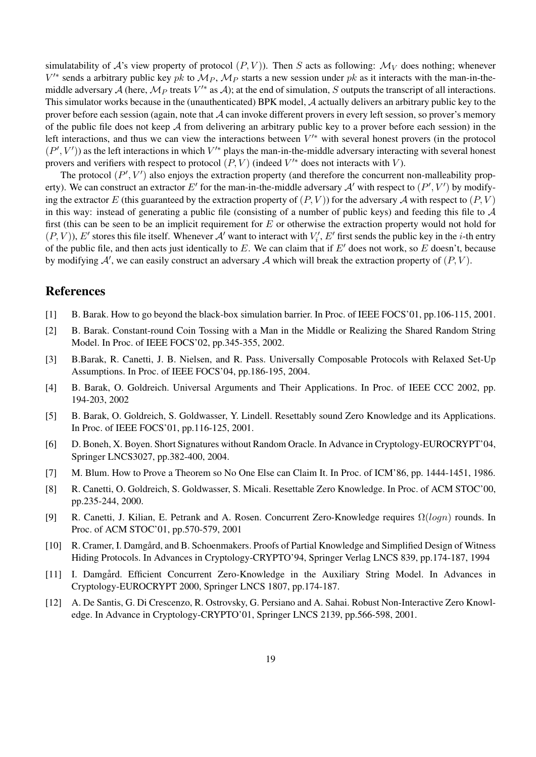simulatability of A's view property of protocol  $(P, V)$ ). Then S acts as following:  $\mathcal{M}_V$  does nothing; whenever  $V'^*$  sends a arbitrary public key pk to  $M_P$ ,  $M_P$  starts a new session under pk as it interacts with the man-in-themiddle adversary A (here,  $M_P$  treats  $V'^*$  as A); at the end of simulation, S outputs the transcript of all interactions. This simulator works because in the (unauthenticated) BPK model, A actually delivers an arbitrary public key to the prover before each session (again, note that  $\mathcal A$  can invoke different provers in every left session, so prover's memory of the public file does not keep  $A$  from delivering an arbitrary public key to a prover before each session) in the left interactions, and thus we can view the interactions between  $V^*$  with several honest provers (in the protocol  $(P', V')$ ) as the left interactions in which  $V'^*$  plays the man-in-the-middle adversary interacting with several honest provers and verifiers with respect to protocol  $(P, V)$  (indeed  $V'^*$  does not interacts with V).

The protocol  $(P', V')$  also enjoys the extraction property (and therefore the concurrent non-malleability property). We can construct an extractor E' for the man-in-the-middle adversary A' with respect to  $(P', V')$  by modifying the extractor E (this guaranteed by the extraction property of  $(P, V)$ ) for the adversary A with respect to  $(P, V)$ in this way: instead of generating a public file (consisting of a number of public keys) and feeding this file to  $A$ first (this can be seen to be an implicit requirement for  $E$  or otherwise the extraction property would not hold for  $(P, V)$ ), E' stores this file itself. Whenever A' want to interact with  $V_i$ , E' first sends the public key in the *i*-th entry of the public file, and then acts just identically to E. We can claim that if  $E'$  does not work, so E doesn't, because by modifying  $A'$ , we can easily construct an adversary A which will break the extraction property of  $(P, V)$ .

### References

- [1] B. Barak. How to go beyond the black-box simulation barrier. In Proc. of IEEE FOCS'01, pp.106-115, 2001.
- [2] B. Barak. Constant-round Coin Tossing with a Man in the Middle or Realizing the Shared Random String Model. In Proc. of IEEE FOCS'02, pp.345-355, 2002.
- [3] B.Barak, R. Canetti, J. B. Nielsen, and R. Pass. Universally Composable Protocols with Relaxed Set-Up Assumptions. In Proc. of IEEE FOCS'04, pp.186-195, 2004.
- [4] B. Barak, O. Goldreich. Universal Arguments and Their Applications. In Proc. of IEEE CCC 2002, pp. 194-203, 2002
- [5] B. Barak, O. Goldreich, S. Goldwasser, Y. Lindell. Resettably sound Zero Knowledge and its Applications. In Proc. of IEEE FOCS'01, pp.116-125, 2001.
- [6] D. Boneh, X. Boyen. Short Signatures without Random Oracle. In Advance in Cryptology-EUROCRYPT'04, Springer LNCS3027, pp.382-400, 2004.
- [7] M. Blum. How to Prove a Theorem so No One Else can Claim It. In Proc. of ICM'86, pp. 1444-1451, 1986.
- [8] R. Canetti, O. Goldreich, S. Goldwasser, S. Micali. Resettable Zero Knowledge. In Proc. of ACM STOC'00, pp.235-244, 2000.
- [9] R. Canetti, J. Kilian, E. Petrank and A. Rosen. Concurrent Zero-Knowledge requires  $\Omega(logn)$  rounds. In Proc. of ACM STOC'01, pp.570-579, 2001
- [10] R. Cramer, I. Damgård, and B. Schoenmakers. Proofs of Partial Knowledge and Simplified Design of Witness Hiding Protocols. In Advances in Cryptology-CRYPTO'94, Springer Verlag LNCS 839, pp.174-187, 1994
- [11] I. Damgård. Efficient Concurrent Zero-Knowledge in the Auxiliary String Model. In Advances in Cryptology-EUROCRYPT 2000, Springer LNCS 1807, pp.174-187.
- [12] A. De Santis, G. Di Crescenzo, R. Ostrovsky, G. Persiano and A. Sahai. Robust Non-Interactive Zero Knowledge. In Advance in Cryptology-CRYPTO'01, Springer LNCS 2139, pp.566-598, 2001.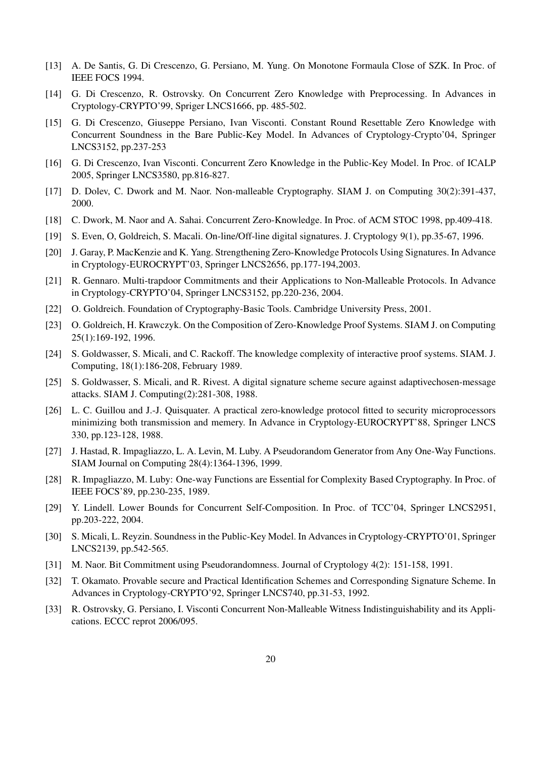- [13] A. De Santis, G. Di Crescenzo, G. Persiano, M. Yung. On Monotone Formaula Close of SZK. In Proc. of IEEE FOCS 1994.
- [14] G. Di Crescenzo, R. Ostrovsky. On Concurrent Zero Knowledge with Preprocessing. In Advances in Cryptology-CRYPTO'99, Spriger LNCS1666, pp. 485-502.
- [15] G. Di Crescenzo, Giuseppe Persiano, Ivan Visconti. Constant Round Resettable Zero Knowledge with Concurrent Soundness in the Bare Public-Key Model. In Advances of Cryptology-Crypto'04, Springer LNCS3152, pp.237-253
- [16] G. Di Crescenzo, Ivan Visconti. Concurrent Zero Knowledge in the Public-Key Model. In Proc. of ICALP 2005, Springer LNCS3580, pp.816-827.
- [17] D. Dolev, C. Dwork and M. Naor. Non-malleable Cryptography. SIAM J. on Computing 30(2):391-437, 2000.
- [18] C. Dwork, M. Naor and A. Sahai. Concurrent Zero-Knowledge. In Proc. of ACM STOC 1998, pp.409-418.
- [19] S. Even, O, Goldreich, S. Macali. On-line/Off-line digital signatures. J. Cryptology 9(1), pp.35-67, 1996.
- [20] J. Garay, P. MacKenzie and K. Yang. Strengthening Zero-Knowledge Protocols Using Signatures. In Advance in Cryptology-EUROCRYPT'03, Springer LNCS2656, pp.177-194,2003.
- [21] R. Gennaro. Multi-trapdoor Commitments and their Applications to Non-Malleable Protocols. In Advance in Cryptology-CRYPTO'04, Springer LNCS3152, pp.220-236, 2004.
- [22] O. Goldreich. Foundation of Cryptography-Basic Tools. Cambridge University Press, 2001.
- [23] O. Goldreich, H. Krawczyk. On the Composition of Zero-Knowledge Proof Systems. SIAM J. on Computing 25(1):169-192, 1996.
- [24] S. Goldwasser, S. Micali, and C. Rackoff. The knowledge complexity of interactive proof systems. SIAM. J. Computing, 18(1):186-208, February 1989.
- [25] S. Goldwasser, S. Micali, and R. Rivest. A digital signature scheme secure against adaptivechosen-message attacks. SIAM J. Computing(2):281-308, 1988.
- [26] L. C. Guillou and J.-J. Quisquater. A practical zero-knowledge protocol fitted to security microprocessors minimizing both transmission and memery. In Advance in Cryptology-EUROCRYPT'88, Springer LNCS 330, pp.123-128, 1988.
- [27] J. Hastad, R. Impagliazzo, L. A. Levin, M. Luby. A Pseudorandom Generator from Any One-Way Functions. SIAM Journal on Computing 28(4):1364-1396, 1999.
- [28] R. Impagliazzo, M. Luby: One-way Functions are Essential for Complexity Based Cryptography. In Proc. of IEEE FOCS'89, pp.230-235, 1989.
- [29] Y. Lindell. Lower Bounds for Concurrent Self-Composition. In Proc. of TCC'04, Springer LNCS2951, pp.203-222, 2004.
- [30] S. Micali, L. Reyzin. Soundness in the Public-Key Model. In Advances in Cryptology-CRYPTO'01, Springer LNCS2139, pp.542-565.
- [31] M. Naor. Bit Commitment using Pseudorandomness. Journal of Cryptology 4(2): 151-158, 1991.
- [32] T. Okamato. Provable secure and Practical Identification Schemes and Corresponding Signature Scheme. In Advances in Cryptology-CRYPTO'92, Springer LNCS740, pp.31-53, 1992.
- [33] R. Ostrovsky, G. Persiano, I. Visconti Concurrent Non-Malleable Witness Indistinguishability and its Applications. ECCC reprot 2006/095.